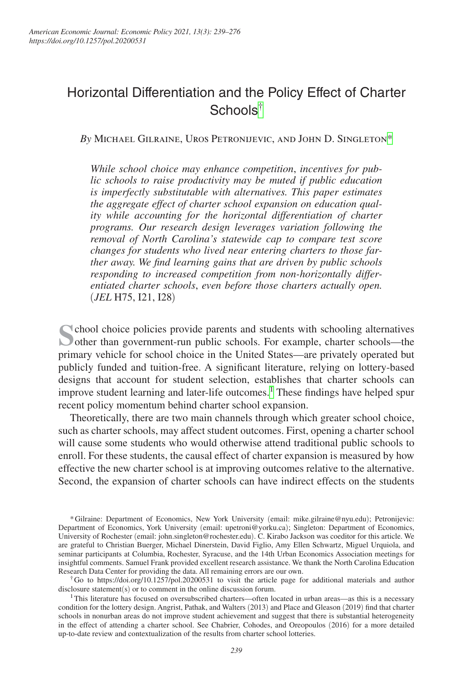# Horizontal Differentiation and the Policy Effect of Charter Schools[†](#page-0-0)

*By* Michael Gilraine, Uros Petronijevic, and John D. Singleto[n\\*](#page-0-1)

*While school choice may enhance competition*, *incentives for public schools to raise productivity may be muted if public education is imperfectly substitutable with alternatives. This paper estimates the aggregate effect of charter school expansion on education quality while accounting for the horizontal differentiation of charter programs. Our research design leverages variation following the removal of North Carolina's statewide cap to compare test score changes for students who lived near entering charters to those farther away. We find learning gains that are driven by public schools responding to increased competition from non-horizontally differentiated charter schools*, *even before those charters actually open.*  (*JEL* H75, I21, I28)

School choice policies provide parents and students with schooling alternatives other than government-run public schools. For example, charter schools—the primary vehicle for school choice in the United States—are privately operated but publicly funded and tuition-free. A significant literature, relying on lottery-based designs that account for student selection, establishes that charter schools can improve student learning and later-life outcomes.<sup>1</sup> These findings have helped spur recent policy momentum behind charter school expansion.

Theoretically, there are two main channels through which greater school choice, such as charter schools, may affect student outcomes. First, opening a charter school will cause some students who would otherwise attend traditional public schools to enroll. For these students, the causal effect of charter expansion is measured by how effective the new charter school is at improving outcomes relative to the alternative. Second, the expansion of charter schools can have indirect effects on the students

<span id="page-0-0"></span>†Go to <https://doi.org/10.1257/pol.20200531>to visit the article page for additional materials and author disclosure statement(s) or to comment in the online discussion forum.

<span id="page-0-2"></span><sup>1</sup>This literature has focused on oversubscribed charters—often located in urban areas—as this is a necessary condition for the lottery design. Angrist, Pathak, and Walters (2013) and Place and Gleason (2019) find that charter schools in nonurban areas do not improve student achievement and suggest that there is substantial heterogeneity in the effect of attending a charter school. See Chabrier, Cohodes, and Oreopoulos (2016) for a more detailed up-to-date review and contextualization of the results from charter school lotteries.

<span id="page-0-1"></span><sup>\*</sup>Gilraine: Department of Economics, New York University (email: mike.gilraine@nyu.edu); P[etronijevic:](mailto:upetroni@yorku.ca)  [Departme](mailto:upetroni@yorku.ca)nt of Economics, York University (email: upetroni@yorku.ca); Singleton: Department of Econo[mics,](mailto:john.singleton@rochester.edu)  [University of Rochester](mailto:john.singleton@rochester.edu) (email: john.singleton@rochester.edu). C. Kirabo Jackson was coeditor for this article. We are grateful to Christian Buerger, Michael Dinerstein, David Figlio, Amy Ellen Schwartz, Miguel Urquiola, and seminar participants at Columbia, Rochester, Syracuse, and the 14th Urban Economics Association meetings for insightful comments. Samuel Frank provided excellent research assistance. We thank the North Carolina Education Research Data Center for providing the data. All remaining errors are our own.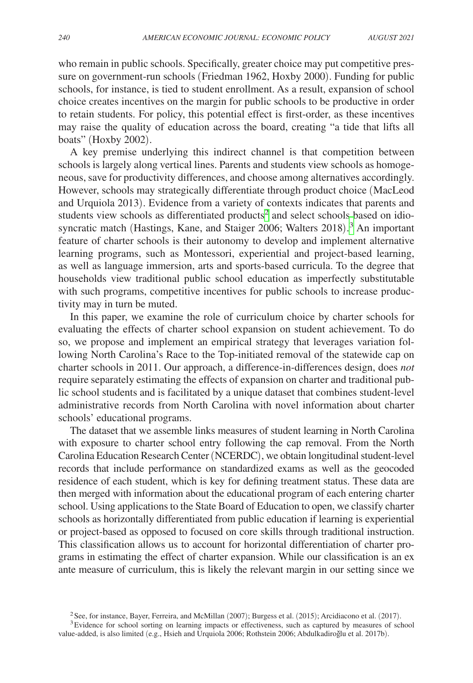who remain in public schools. Specifically, greater choice may put competitive pressure on government-run schools (Friedman 1962, Hoxby 2000). Funding for public schools, for instance, is tied to student enrollment. As a result, expansion of school choice creates incentives on the margin for public schools to be productive in order to retain students. For policy, this potential effect is first-order, as these incentives may raise the quality of education across the board, creating "a tide that lifts all boats" (Hoxby 2002).

A key premise underlying this indirect channel is that competition between schools is largely along vertical lines. Parents and students view schools as homogeneous, save for productivity differences, and choose among alternatives accordingly. However, schools may strategically differentiate through product choice (MacLeod and Urquiola 2013). Evidence from a variety of contexts indicates that parents and students view schools as differentiated products<sup>[2](#page-1-0)</sup> and select schools based on idiosyncratic match (Hastings, Kane, and Staiger 2006; Walters 2018). [3](#page-1-1) An important feature of charter schools is their autonomy to develop and implement alternative learning programs, such as Montessori, experiential and project-based learning, as well as language immersion, arts and sports-based curricula. To the degree that households view traditional public school education as imperfectly substitutable with such programs, competitive incentives for public schools to increase productivity may in turn be muted.

In this paper, we examine the role of curriculum choice by charter schools for evaluating the effects of charter school expansion on student achievement. To do so, we propose and implement an empirical strategy that leverages variation following North Carolina's Race to the Top-initiated removal of the statewide cap on charter schools in 2011. Our approach, a difference-in-differences design, does *not* require separately estimating the effects of expansion on charter and traditional public school students and is facilitated by a unique dataset that combines student-level administrative records from North Carolina with novel information about charter schools' educational programs.

The dataset that we assemble links measures of student learning in North Carolina with exposure to charter school entry following the cap removal. From the North Carolina Education Research Center (NCERDC), we obtain longitudinal student-level records that include performance on standardized exams as well as the geocoded residence of each student, which is key for defining treatment status. These data are then merged with information about the educational program of each entering charter school. Using applications to the State Board of Education to open, we classify charter schools as horizontally differentiated from public education if learning is experiential or project-based as opposed to focused on core skills through traditional instruction. This classification allows us to account for horizontal differentiation of charter programs in estimating the effect of charter expansion. While our classification is an ex ante measure of curriculum, this is likely the relevant margin in our setting since we

<span id="page-1-1"></span><span id="page-1-0"></span><sup>&</sup>lt;sup>2</sup>See, for instance, Bayer, Ferreira, and McMillan (2007); Burgess et al. (2015); Arcidiacono et al. (2017).  $3E$  vidence for school sorting on learning impacts or effectiveness, such as captured by measures of school

value-added, is also limited (e.g., Hsieh and Urquiola 2006; Rothstein 2006; Abdulkadiroğlu et al. 2017b).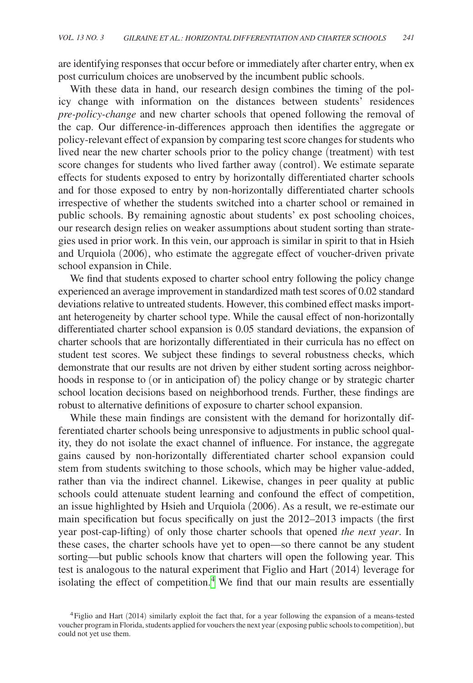are identifying responses that occur before or immediately after charter entry, when ex post curriculum choices are unobserved by the incumbent public schools.

With these data in hand, our research design combines the timing of the policy change with information on the distances between students' residences *pre-policy-change* and new charter schools that opened following the removal of the cap. Our difference-in-differences approach then identifies the aggregate or policy-relevant effect of expansion by comparing test score changes for students who lived near the new charter schools prior to the policy change (treatment) with test score changes for students who lived farther away (control). We estimate separate effects for students exposed to entry by horizontally differentiated charter schools and for those exposed to entry by non-horizontally differentiated charter schools irrespective of whether the students switched into a charter school or remained in public schools. By remaining agnostic about students' ex post schooling choices, our research design relies on weaker assumptions about student sorting than strategies used in prior work. In this vein, our approach is similar in spirit to that in Hsieh and Urquiola (2006), who estimate the aggregate effect of voucher-driven private school expansion in Chile.

We find that students exposed to charter school entry following the policy change experienced an average improvement in standardized math test scores of 0.02 standard deviations relative to untreated students. However, this combined effect masks important heterogeneity by charter school type. While the causal effect of non-horizontally differentiated charter school expansion is 0.05 standard deviations, the expansion of charter schools that are horizontally differentiated in their curricula has no effect on student test scores. We subject these findings to several robustness checks, which demonstrate that our results are not driven by either student sorting across neighborhoods in response to (or in anticipation of) the policy change or by strategic charter school location decisions based on neighborhood trends. Further, these findings are robust to alternative definitions of exposure to charter school expansion.

While these main findings are consistent with the demand for horizontally differentiated charter schools being unresponsive to adjustments in public school quality, they do not isolate the exact channel of influence. For instance, the aggregate gains caused by non-horizontally differentiated charter school expansion could stem from students switching to those schools, which may be higher value-added, rather than via the indirect channel. Likewise, changes in peer quality at public schools could attenuate student learning and confound the effect of competition, an issue highlighted by Hsieh and Urquiola (2006). As a result, we re-estimate our main specification but focus specifically on just the 2012–2013 impacts (the first year post-cap-lifting) of only those charter schools that opened *the next year*. In these cases, the charter schools have yet to open—so there cannot be any student sorting—but public schools know that charters will open the following year. This test is analogous to the natural experiment that Figlio and Hart (2014) leverage for isolating the effect of competition.<sup>[4](#page-2-0)</sup> We find that our main results are essentially

<span id="page-2-0"></span><sup>4</sup>Figlio and Hart (2014) similarly exploit the fact that, for a year following the expansion of a means-tested voucher program in Florida, students applied for vouchers the next year (exposing public schools to competition), but could not yet use them.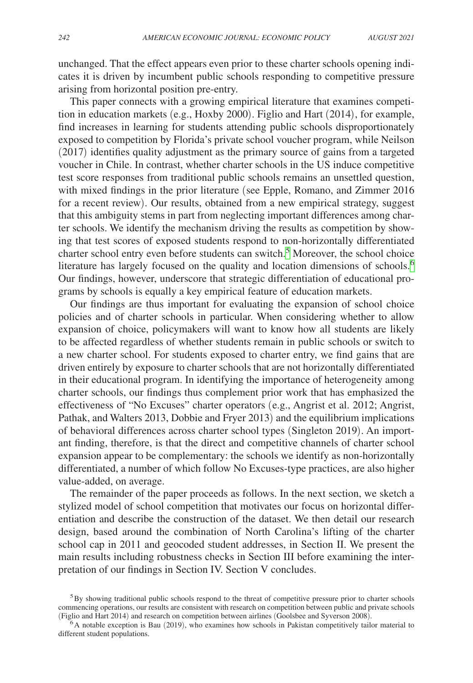unchanged. That the effect appears even prior to these charter schools opening indicates it is driven by incumbent public schools responding to competitive pressure arising from horizontal position pre-entry.

This paper connects with a growing empirical literature that examines competition in education markets (e.g., Hoxby 2000). Figlio and Hart (2014), for example, find increases in learning for students attending public schools disproportionately exposed to competition by Florida's private school voucher program, while Neilson (2017) identifies quality adjustment as the primary source of gains from a targeted voucher in Chile. In contrast, whether charter schools in the US induce competitive test score responses from traditional public schools remains an unsettled question, with mixed findings in the prior literature (see Epple, Romano, and Zimmer 2016 for a recent review). Our results, obtained from a new empirical strategy, suggest that this ambiguity stems in part from neglecting important differences among charter schools. We identify the mechanism driving the results as competition by showing that test scores of exposed students respond to non-horizontally differentiated charter school entry even before students can switch.<sup>[5](#page-3-0)</sup> Moreover, the school choice literature has largely focused on the quality and location dimensions of schools.<sup>[6](#page-3-1)</sup> Our findings, however, underscore that strategic differentiation of educational programs by schools is equally a key empirical feature of education markets.

Our findings are thus important for evaluating the expansion of school choice policies and of charter schools in particular. When considering whether to allow expansion of choice, policymakers will want to know how all students are likely to be affected regardless of whether students remain in public schools or switch to a new charter school. For students exposed to charter entry, we find gains that are driven entirely by exposure to charter schools that are not horizontally differentiated in their educational program. In identifying the importance of heterogeneity among charter schools, our findings thus complement prior work that has emphasized the effectiveness of "No Excuses" charter operators (e.g., Angrist et al. 2012; Angrist, Pathak, and Walters 2013, Dobbie and Fryer 2013) and the equilibrium implications of behavioral differences across charter school types (Singleton 2019). An important finding, therefore, is that the direct and competitive channels of charter school expansion appear to be complementary: the schools we identify as non-horizontally differentiated, a number of which follow No Excuses-type practices, are also higher value-added, on average.

The remainder of the paper proceeds as follows. In the next section, we sketch a stylized model of school competition that motivates our focus on horizontal differentiation and describe the construction of the dataset. We then detail our research design, based around the combination of North Carolina's lifting of the charter school cap in 2011 and geocoded student addresses, in Section II. We present the main results including robustness checks in Section III before examining the interpretation of our findings in Section IV. Section V concludes.

<span id="page-3-0"></span><sup>&</sup>lt;sup>5</sup>By showing traditional public schools respond to the threat of competitive pressure prior to charter schools commencing operations, our results are consistent with research on competition between public and private schools (Figlio and Hart 2014) and research on competition between airlines (Goolsbee and Syverson 2008).

<span id="page-3-1"></span> $\epsilon$ A notable exception is Bau (2019), who examines how schools in Pakistan competitively tailor material to different student populations.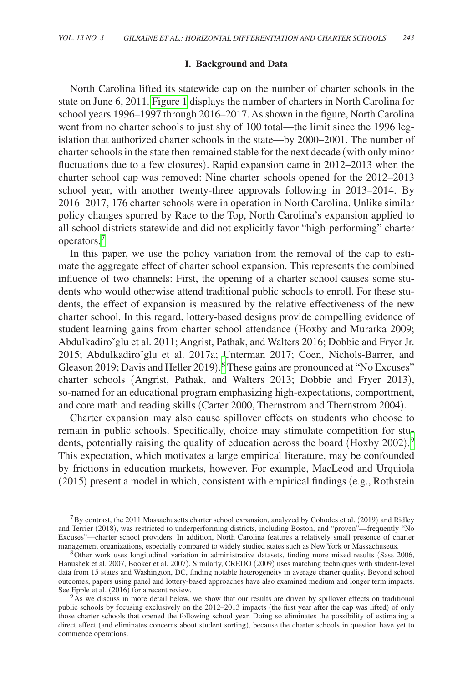## **I. Background and Data**

North Carolina lifted its statewide cap on the number of charter schools in the state on June 6, 2011. [Figure 1](#page-5-0) displays the number of charters in North Carolina for school years 1996–1997 through 2016–2017. As shown in the figure, North Carolina went from no charter schools to just shy of 100 total—the limit since the 1996 legislation that authorized charter schools in the state—by 2000–2001. The number of charter schools in the state then remained stable for the next decade (with only minor fluctuations due to a few closures). Rapid expansion came in 2012–2013 when the charter school cap was removed: Nine charter schools opened for the 2012–2013 school year, with another twenty-three approvals following in 2013–2014. By 2016–2017, 176 charter schools were in operation in North Carolina. Unlike similar policy changes spurred by Race to the Top, North Carolina's expansion applied to all school districts statewide and did not explicitly favor "high-performing" charter operators.[7](#page-4-0)

In this paper, we use the policy variation from the removal of the cap to estimate the aggregate effect of charter school expansion. This represents the combined influence of two channels: First, the opening of a charter school causes some students who would otherwise attend traditional public schools to enroll. For these students, the effect of expansion is measured by the relative effectiveness of the new charter school. In this regard, lottery-based designs provide compelling evidence of student learning gains from charter school attendance (Hoxby and Murarka 2009; Abdulkadiroˇglu et al. 2011; Angrist, Pathak, and Walters 2016; Dobbie and Fryer Jr. 2015; Abdulkadiro`glu et al. 2017a; Unterman 2017; Coen, Nichols-Barrer, and Gleason 2019; Davis and Heller 2019).<sup>[8](#page-4-1)</sup> These gains are pronounced at "No Excuses" charter schools (Angrist, Pathak, and Walters 2013; Dobbie and Fryer 2013), so-named for an educational program emphasizing high-expectations, comportment, and core math and reading skills (Carter 2000, Thernstrom and Thernstrom 2004).

Charter expansion may also cause spillover effects on students who choose to remain in public schools. Specifically, choice may stimulate competition for students, potentially raising the quality of education across the board (Hoxby 2002). [9](#page-4-2) This expectation, which motivates a large empirical literature, may be confounded by frictions in education markets, however. For example, MacLeod and Urquiola (2015) present a model in which, consistent with empirical findings (e.g., Rothstein

<span id="page-4-0"></span><sup>7</sup>By contrast, the 2011 Massachusetts charter school expansion, analyzed by Cohodes et al. (2019) and Ridley and Terrier (2018), was restricted to underperforming districts, including Boston, and "proven"—frequently "No Excuses"—charter school providers. In addition, North Carolina features a relatively small presence of charter management organizations, especially compared to widely studied states such as New York or Massachusetts.<br><sup>8</sup>Other work uses longitudinal variation in administrative datasets, finding more mixed results (Sass 2006,

<span id="page-4-1"></span>Hanushek et al. 2007, Booker et al. 2007). Similarly, CREDO (2009) uses matching techniques with student-level data from 15 states and Washington, DC, finding notable heterogeneity in average charter quality. Beyond school outcomes, papers using panel and lottery-based approaches have also examined medium and longer term impacts.

<span id="page-4-2"></span> $9As$  we discuss in more detail below, we show that our results are driven by spillover effects on traditional public schools by focusing exclusively on the 2012–2013 impacts (the first year after the cap was lifted) of only those charter schools that opened the following school year. Doing so eliminates the possibility of estimating a direct effect (and eliminates concerns about student sorting), because the charter schools in question have yet to commence operations.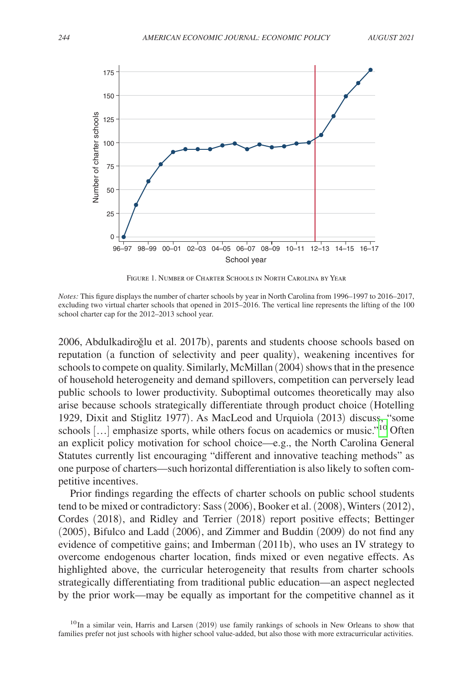<span id="page-5-0"></span>

Figure 1. Number of Charter Schools in North Carolina by Year

*Notes:* This figure displays the number of charter schools by year in North Carolina from 1996–1997 to 2016–2017, excluding two virtual charter schools that opened in 2015–2016. The vertical line represents the lifting of the 100 school charter cap for the 2012–2013 school year.

2006, Abdulkadiroğlu et al. 2017b), parents and students choose schools based on reputation (a function of selectivity and peer quality), weakening incentives for schools to compete on quality. Similarly, McMillan (2004) shows that in the presence of household heterogeneity and demand spillovers, competition can perversely lead public schools to lower productivity. Suboptimal outcomes theoretically may also arise because schools strategically differentiate through product choice (Hotelling 1929, Dixit and Stiglitz 1977). As MacLeod and Urquiola (2013) discuss, "some schools […] emphasize sports, while others focus on academics or music.["10](#page-5-1) Often an explicit policy motivation for school choice—e.g., the North Carolina General Statutes currently list encouraging "different and innovative teaching methods" as one purpose of charters—such horizontal differentiation is also likely to soften competitive incentives.

Prior findings regarding the effects of charter schools on public school students tend to be mixed or contradictory: Sass (2006), Booker et al. (2008), Winters (2012), Cordes (2018), and Ridley and Terrier (2018) report positive effects; Bettinger (2005), Bifulco and Ladd (2006), and Zimmer and Buddin (2009) do not find any evidence of competitive gains; and Imberman (2011b), who uses an IV strategy to overcome endogenous charter location, finds mixed or even negative effects. As highlighted above, the curricular heterogeneity that results from charter schools strategically differentiating from traditional public education—an aspect neglected by the prior work—may be equally as important for the competitive channel as it

<span id="page-5-1"></span><sup>&</sup>lt;sup>10</sup> In a similar vein, Harris and Larsen (2019) use family rankings of schools in New Orleans to show that families prefer not just schools with higher school value-added, but also those with more extracurricular activities.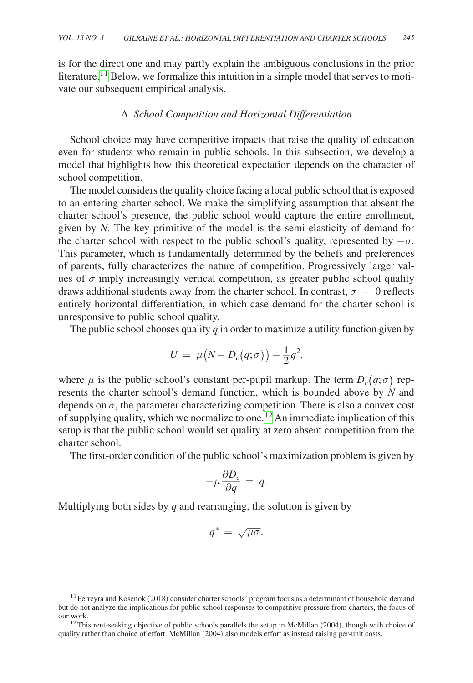is for the direct one and may partly explain the ambiguous conclusions in the prior literature.<sup>11</sup> Below, we formalize this intuition in a simple model that serves to motivate our subsequent empirical analysis.

## A. *School Competition and Horizontal Differentiation*

School choice may have competitive impacts that raise the quality of education even for students who remain in public schools. In this subsection, we develop a model that highlights how this theoretical expectation depends on the character of school competition.

The model considers the quality choice facing a local public school that is exposed to an entering charter school. We make the simplifying assumption that absent the charter school's presence, the public school would capture the entire enrollment, given by *N*. The key primitive of the model is the semi-elasticity of demand for the charter school with respect to the public school's quality, represented by  $-\sigma$ . This parameter, which is fundamentally determined by the beliefs and preferences of parents, fully characterizes the nature of competition. Progressively larger values of  $\sigma$  imply increasingly vertical competition, as greater public school quality draws additional students away from the charter school. In contrast,  $\sigma = 0$  reflects entirely horizontal differentiation, in which case demand for the charter school is unresponsive to public school quality.

The public school chooses quality *q* in order to maximize a utility function given by

$$
U \ = \ \mu\big(N - D_c\big(q;\sigma\big)\big) - \frac{1}{2}q^2,
$$

where  $\mu$  is the public school's constant per-pupil markup. The term  $D_c(q;\sigma)$  represents the charter school's demand function, which is bounded above by *N* and depends on  $\sigma$ , the parameter characterizing competition. There is also a convex cost of supplying quality, which we normalize to one.<sup>[12](#page-6-1)</sup> An immediate implication of this setup is that the public school would set quality at zero absent competition from the charter school.

The first-order condition of the public school's maximization problem is given by<br> $-\mu \frac{\partial D_c}{\partial q} = q$ .

$$
-\mu \frac{\partial D_c}{\partial q} = q.
$$

Multiplying both sides by *q* and rearranging, the solution is given by

$$
q^* = \sqrt{\mu \sigma}.
$$

<span id="page-6-0"></span> $11$  Ferreyra and Kosenok (2018) consider charter schools' program focus as a determinant of household demand but do not analyze the implications for public school responses to competitive pressure from charters, the focus of our work.<br><sup>12</sup>This rent-seeking objective of public schools parallels the setup in McMillan (2004), though with choice of

<span id="page-6-1"></span>quality rather than choice of effort. McMillan (2004) also models effort as instead raising per-unit costs.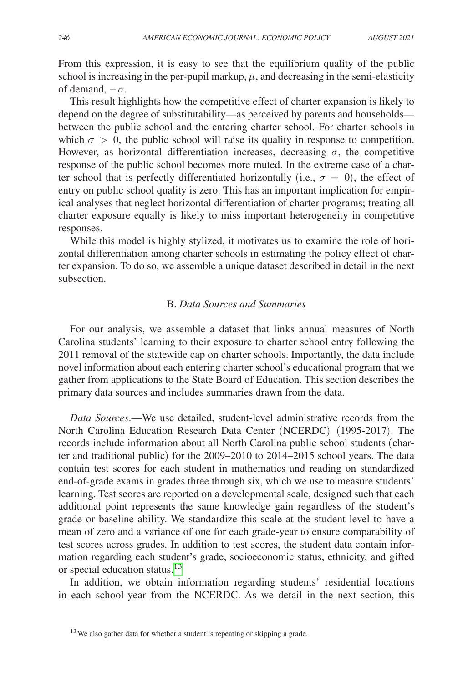From this expression, it is easy to see that the equilibrium quality of the public school is increasing in the per-pupil markup,  $\mu$ , and decreasing in the semi-elasticity of demand,  $-\sigma$ .

This result highlights how the competitive effect of charter expansion is likely to depend on the degree of substitutability—as perceived by parents and households between the public school and the entering charter school. For charter schools in which  $\sigma > 0$ , the public school will raise its quality in response to competition. However, as horizontal differentiation increases, decreasing  $\sigma$ , the competitive response of the public school becomes more muted. In the extreme case of a charter school that is perfectly differentiated horizontally (i.e.,  $\sigma = 0$ ), the effect of entry on public school quality is zero. This has an important implication for empirical analyses that neglect horizontal differentiation of charter programs; treating all charter exposure equally is likely to miss important heterogeneity in competitive responses.

While this model is highly stylized, it motivates us to examine the role of horizontal differentiation among charter schools in estimating the policy effect of charter expansion. To do so, we assemble a unique dataset described in detail in the next subsection.

# B. *Data Sources and Summaries*

For our analysis, we assemble a dataset that links annual measures of North Carolina students' learning to their exposure to charter school entry following the 2011 removal of the statewide cap on charter schools. Importantly, the data include novel information about each entering charter school's educational program that we gather from applications to the State Board of Education. This section describes the primary data sources and includes summaries drawn from the data.

*Data Sources*.—We use detailed, student-level administrative records from the North Carolina Education Research Data Center (NCERDC) (1995-2017). The records include information about all North Carolina public school students (charter and traditional public) for the 2009–2010 to 2014–2015 school years. The data contain test scores for each student in mathematics and reading on standardized end-of-grade exams in grades three through six, which we use to measure students' learning. Test scores are reported on a developmental scale, designed such that each additional point represents the same knowledge gain regardless of the student's grade or baseline ability. We standardize this scale at the student level to have a mean of zero and a variance of one for each grade-year to ensure comparability of test scores across grades. In addition to test scores, the student data contain information regarding each student's grade, socioeconomic status, ethnicity, and gifted or special education status.<sup>[13](#page-7-0)</sup>

In addition, we obtain information regarding students' residential locations in each school-year from the NCERDC. As we detail in the next section, this

<span id="page-7-0"></span> $13$  We also gather data for whether a student is repeating or skipping a grade.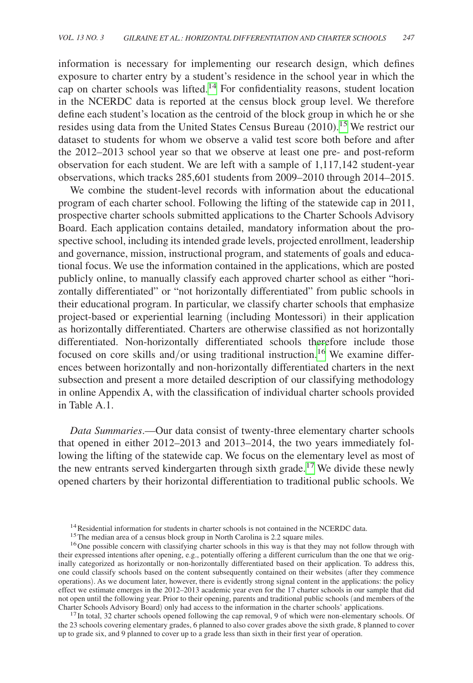information is necessary for implementing our research design, which defines exposure to charter entry by a student's residence in the school year in which the cap on charter schools was lifted.[14](#page-8-0) For confidentiality reasons, student location in the NCERDC data is reported at the census block group level. We therefore define each student's location as the centroid of the block group in which he or she resides using data from the United States Census Bureau (2010).<sup>[15](#page-8-1)</sup> We restrict our dataset to students for whom we observe a valid test score both before and after the 2012–2013 school year so that we observe at least one pre- and post-reform observation for each student. We are left with a sample of 1,117,142 student-year observations, which tracks 285,601 students from 2009–2010 through 2014–2015.

We combine the student-level records with information about the educational program of each charter school. Following the lifting of the statewide cap in 2011, prospective charter schools submitted applications to the Charter Schools Advisory Board. Each application contains detailed, mandatory information about the prospective school, including its intended grade levels, projected enrollment, leadership and governance, mission, instructional program, and statements of goals and educational focus. We use the information contained in the applications, which are posted publicly online, to manually classify each approved charter school as either "horizontally differentiated" or "not horizontally differentiated" from public schools in their educational program. In particular, we classify charter schools that emphasize project-based or experiential learning (including Montessori) in their application as horizontally differentiated. Charters are otherwise classified as not horizontally differentiated. Non-horizontally differentiated schools therefore include those focused on core skills and/or using traditional instruction.<sup>16</sup> We examine differences between horizontally and non-horizontally differentiated charters in the next subsection and present a more detailed description of our classifying methodology in online Appendix A, with the classification of individual charter schools provided in Table A.1.

*Data Summaries*.—Our data consist of twenty-three elementary charter schools that opened in either 2012–2013 and 2013–2014, the two years immediately following the lifting of the statewide cap. We focus on the elementary level as most of the new entrants served kindergarten through sixth grade.<sup>[17](#page-8-3)</sup> We divide these newly opened charters by their horizontal differentiation to traditional public schools. We

<span id="page-8-3"></span> $17$  In total, 32 charter schools opened following the cap removal, 9 of which were non-elementary schools. Of the 23 schools covering elementary grades, 6 planned to also cover grades above the sixth grade, 8 planned to cover up to grade six, and 9 planned to cover up to a grade less than sixth in their first year of operation.

<span id="page-8-1"></span><span id="page-8-0"></span>

<span id="page-8-2"></span>

<sup>&</sup>lt;sup>14</sup> Residential information for students in charter schools is not contained in the NCERDC data.<br><sup>15</sup>The median area of a census block group in North Carolina is 2.2 square miles.<br><sup>16</sup>One possible concern with classifyin their expressed intentions after opening, e.g., potentially offering a different curriculum than the one that we originally categorized as horizontally or non-horizontally differentiated based on their application. To address this, one could classify schools based on the content subsequently contained on their websites (after they commence operations). As we document later, however, there is evidently strong signal content in the applications: the policy effect we estimate emerges in the 2012–2013 academic year even for the 17 charter schools in our sample that did not open until the following year. Prior to their opening, parents and traditional public schools (and members of the Charter Schools Advisory Board) only had access to the information in the charter schools' applications.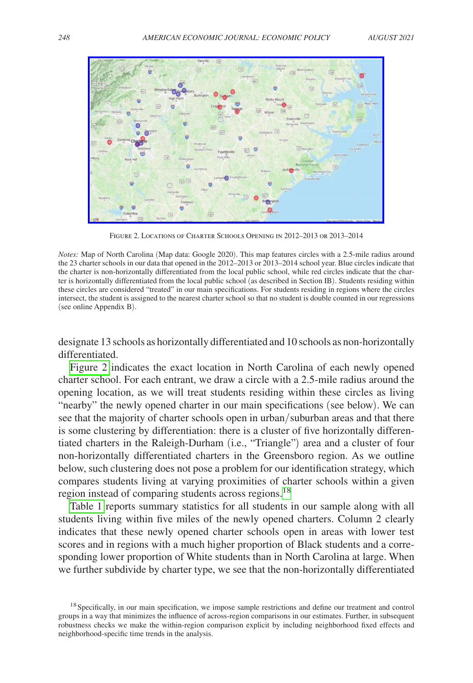

Figure 2. Locations of Charter Schools Opening in 2012–2013 or 2013–2014

*Notes:* Map of North Carolina (Map data: Google 2020). This map features circles with a 2.5-mile radius around the 23 charter schools in our data that opened in the 2012–2013 or 2013–2014 school year. Blue circles indicate that the charter is non-horizontally differentiated from the local public school, while red circles indicate that the charter is horizontally differentiated from the local public school (as described in Section IB). Students residing within these circles are considered "treated" in our main specifications. For students residing in regions where the circles intersect, the student is assigned to the nearest charter school so that no student is double counted in our regressions (see online Appendix B).

designate 13 schools as horizontally differentiated and 10 schools as non-horizontally differentiated.

Figure 2 indicates the exact location in North Carolina of each newly opened charter school. For each entrant, we draw a circle with a 2.5-mile radius around the opening location, as we will treat students residing within these circles as living "nearby" the newly opened charter in our main specifications (see below). We can see that the majority of charter schools open in urban/suburban areas and that there is some clustering by differentiation: there is a cluster of five horizontally differentiated charters in the Raleigh-Durham (i.e., "Triangle") area and a cluster of four non-horizontally differentiated charters in the Greensboro region. As we outline below, such clustering does not pose a problem for our identification strategy, which compares students living at varying proximities of charter schools within a given region instead of comparing students across regions.<sup>18</sup>

[Table 1](#page-10-0) reports summary statistics for all students in our sample along with all students living within five miles of the newly opened charters. Column 2 clearly indicates that these newly opened charter schools open in areas with lower test scores and in regions with a much higher proportion of Black students and a corresponding lower proportion of White students than in North Carolina at large. When we further subdivide by charter type, we see that the non-horizontally differentiated

<span id="page-9-0"></span><sup>&</sup>lt;sup>18</sup> Specifically, in our main specification, we impose sample restrictions and define our treatment and control groups in a way that minimizes the influence of across-region comparisons in our estimates. Further, in subsequent robustness checks we make the within-region comparison explicit by including neighborhood fixed effects and neighborhood-specific time trends in the analysis.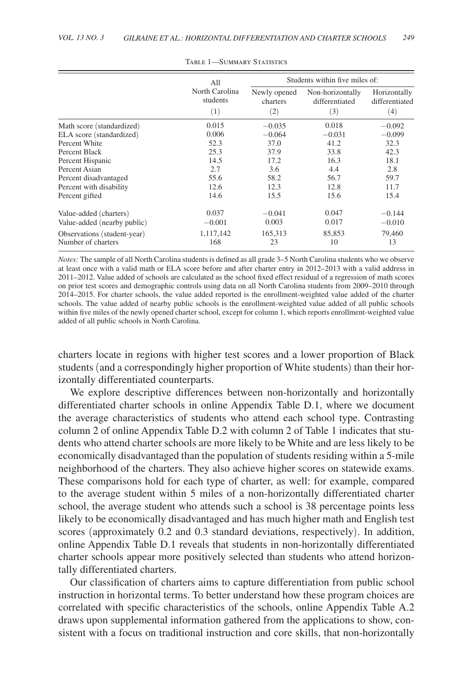<span id="page-10-0"></span>

|                                                   | All                               | Students within five miles of:                |                                           |                                       |  |  |
|---------------------------------------------------|-----------------------------------|-----------------------------------------------|-------------------------------------------|---------------------------------------|--|--|
|                                                   | North Carolina<br>students<br>(1) | Newly opened<br>charters<br>$\left( 2\right)$ | Non-horizontally<br>differentiated<br>(3) | Horizontally<br>differentiated<br>(4) |  |  |
| Math score (standardized)                         | 0.015                             | $-0.035$                                      | 0.018                                     | $-0.092$                              |  |  |
| ELA score (standardized)                          | 0.006                             | $-0.064$                                      | $-0.031$                                  | $-0.099$                              |  |  |
| Percent White                                     | 52.3                              | 37.0                                          | 41.2                                      | 32.3                                  |  |  |
| Percent Black                                     | 25.3                              | 37.9                                          | 33.8                                      | 42.3                                  |  |  |
| Percent Hispanic                                  | 14.5                              | 17.2                                          | 16.3                                      | 18.1                                  |  |  |
| Percent Asian                                     | 2.7                               | 3.6                                           | 4.4                                       | 2.8                                   |  |  |
| Percent disadvantaged                             | 55.6                              | 58.2                                          | 56.7                                      | 59.7                                  |  |  |
| Percent with disability                           | 12.6                              | 12.3                                          | 12.8                                      | 11.7                                  |  |  |
| Percent gifted                                    | 14.6                              | 15.5                                          | 15.6                                      | 15.4                                  |  |  |
| Value-added (charters)                            | 0.037                             | $-0.041$                                      | 0.047                                     | $-0.144$                              |  |  |
| Value-added (nearby public)                       | $-0.001$                          | 0.003                                         | 0.017                                     | $-0.010$                              |  |  |
| Observations (student-year)<br>Number of charters | 1,117,142<br>168                  | 165,313<br>23                                 | 85,853<br>10                              | 79,460<br>13                          |  |  |

Table 1—Summary Statistics

*Notes:* The sample of all North Carolina students is defined as all grade 3–5 North Carolina students who we observe at least once with a valid math or ELA score before and after charter entry in 2012–2013 with a valid address in 2011–2012. Value added of schools are calculated as the school fixed effect residual of a regression of math scores on prior test scores and demographic controls using data on all North Carolina students from 2009–2010 through 2014–2015. For charter schools, the value added reported is the enrollment-weighted value added of the charter schools. The value added of nearby public schools is the enrollment-weighted value added of all public schools within five miles of the newly opened charter school, except for column 1, which reports enrollment-weighted value added of all public schools in North Carolina.

charters locate in regions with higher test scores and a lower proportion of Black students (and a correspondingly higher proportion of White students) than their horizontally differentiated counterparts.

We explore descriptive differences between non-horizontally and horizontally differentiated charter schools in online Appendix Table D.1, where we document the average characteristics of students who attend each school type. Contrasting column 2 of online Appendix Table D.2 with column 2 of Table 1 indicates that students who attend charter schools are more likely to be White and are less likely to be economically disadvantaged than the population of students residing within a 5-mile neighborhood of the charters. They also achieve higher scores on statewide exams. These comparisons hold for each type of charter, as well: for example, compared to the average student within 5 miles of a non-horizontally differentiated charter school, the average student who attends such a school is 38 percentage points less likely to be economically disadvantaged and has much higher math and English test scores (approximately 0.2 and 0.3 standard deviations, respectively). In addition, online Appendix Table D.1 reveals that students in non-horizontally differentiated charter schools appear more positively selected than students who attend horizontally differentiated charters.

Our classification of charters aims to capture differentiation from public school instruction in horizontal terms. To better understand how these program choices are correlated with specific characteristics of the schools, online Appendix Table A.2 draws upon supplemental information gathered from the applications to show, consistent with a focus on traditional instruction and core skills, that non-horizontally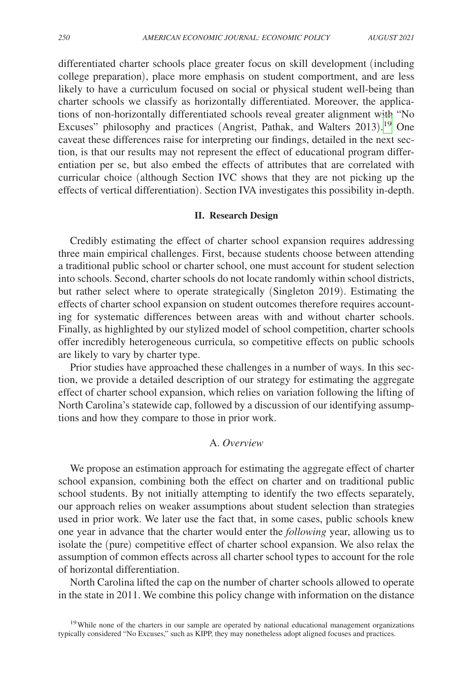differentiated charter schools place greater focus on skill development (including college preparation), place more emphasis on student comportment, and are less likely to have a curriculum focused on social or physical student well-being than charter schools we classify as horizontally differentiated. Moreover, the applications of non-horizontally differentiated schools reveal greater alignment with "No Excuses" philosophy and practices (Angrist, Pathak, and Walters 2013). [19](#page-11-0) One caveat these differences raise for interpreting our findings, detailed in the next section, is that our results may not represent the effect of educational program differentiation per se, but also embed the effects of attributes that are correlated with curricular choice (although Section IVC shows that they are not picking up the effects of vertical differentiation). Section IVA investigates this possibility in-depth.

### **II. Research Design**

Credibly estimating the effect of charter school expansion requires addressing three main empirical challenges. First, because students choose between attending a traditional public school or charter school, one must account for student selection into schools. Second, charter schools do not locate randomly within school districts, but rather select where to operate strategically (Singleton 2019). Estimating the effects of charter school expansion on student outcomes therefore requires accounting for systematic differences between areas with and without charter schools. Finally, as highlighted by our stylized model of school competition, charter schools offer incredibly heterogeneous curricula, so competitive effects on public schools are likely to vary by charter type.

Prior studies have approached these challenges in a number of ways. In this section, we provide a detailed description of our strategy for estimating the aggregate effect of charter school expansion, which relies on variation following the lifting of North Carolina's statewide cap, followed by a discussion of our identifying assumptions and how they compare to those in prior work.

## A. *Overview*

We propose an estimation approach for estimating the aggregate effect of charter school expansion, combining both the effect on charter and on traditional public school students. By not initially attempting to identify the two effects separately, our approach relies on weaker assumptions about student selection than strategies used in prior work. We later use the fact that, in some cases, public schools knew one year in advance that the charter would enter the *following* year, allowing us to isolate the (pure) competitive effect of charter school expansion. We also relax the assumption of common effects across all charter school types to account for the role of horizontal differentiation.

North Carolina lifted the cap on the number of charter schools allowed to operate in the state in 2011. We combine this policy change with information on the distance

<span id="page-11-0"></span><sup>19</sup>While none of the charters in our sample are operated by national educational management organizations typically considered "No Excuses," such as KIPP, they may nonetheless adopt aligned focuses and practices.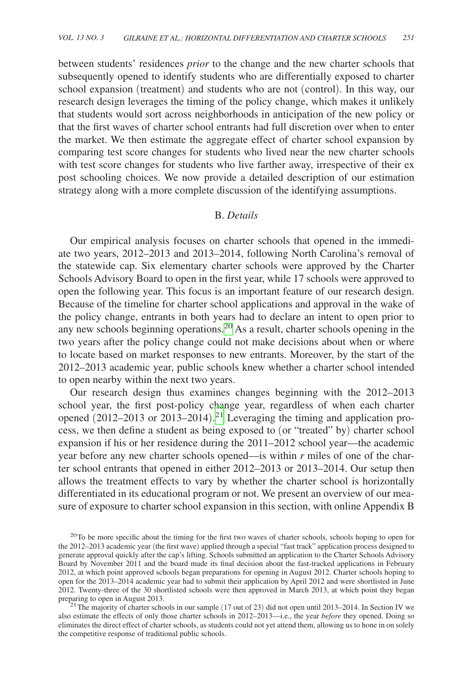between students' residences *prior* to the change and the new charter schools that subsequently opened to identify students who are differentially exposed to charter school expansion (treatment) and students who are not (control). In this way, our research design leverages the timing of the policy change, which makes it unlikely that students would sort across neighborhoods in anticipation of the new policy or that the first waves of charter school entrants had full discretion over when to enter the market. We then estimate the aggregate effect of charter school expansion by comparing test score changes for students who lived near the new charter schools with test score changes for students who live farther away, irrespective of their ex post schooling choices. We now provide a detailed description of our estimation strategy along with a more complete discussion of the identifying assumptions.

# B. *Details*

Our empirical analysis focuses on charter schools that opened in the immediate two years, 2012–2013 and 2013–2014, following North Carolina's removal of the statewide cap. Six elementary charter schools were approved by the Charter Schools Advisory Board to open in the first year, while 17 schools were approved to open the following year. This focus is an important feature of our research design. Because of the timeline for charter school applications and approval in the wake of the policy change, entrants in both years had to declare an intent to open prior to any new schools beginning operations[.20](#page-12-0) As a result, charter schools opening in the two years after the policy change could not make decisions about when or where to locate based on market responses to new entrants. Moreover, by the start of the 2012–2013 academic year, public schools knew whether a charter school intended to open nearby within the next two years.

Our research design thus examines changes beginning with the 2012–2013 school year, the first post-policy change year, regardless of when each charter opened (2012–2013 or 2013–2014). [21](#page-12-1) Leveraging the timing and application process, we then define a student as being exposed to (or "treated" by) charter school expansion if his or her residence during the 2011–2012 school year—the academic year before any new charter schools opened—is within *r* miles of one of the charter school entrants that opened in either 2012–2013 or 2013–2014. Our setup then allows the treatment effects to vary by whether the charter school is horizontally differentiated in its educational program or not. We present an overview of our measure of exposure to charter school expansion in this section, with online Appendix B

<span id="page-12-0"></span><sup>&</sup>lt;sup>20</sup>To be more specific about the timing for the first two waves of charter schools, schools hoping to open for the 2012–2013 academic year (the first wave) applied through a special "fast track" application process designed to generate approval quickly after the cap's lifting. Schools submitted an application to the Charter Schools Advisory Board by November 2011 and the board made its final decision about the fast-tracked applications in February 2012, at which point approved schools began preparations for opening in August 2012. Charter schools hoping to open for the 2013–2014 academic year had to submit their application by April 2012 and were shortlisted in June 2012. Twenty-three of the 30 shortlisted schools were then approved in March 2013, at which point they began

<span id="page-12-1"></span><sup>&</sup>lt;sup>21</sup> The majority of charter schools in our sample (17 out of 23) did not open until 2013–2014. In Section IV we also estimate the effects of only those charter schools in 2012–2013—i.e., the year *before* they opened. Doing so eliminates the direct effect of charter schools, as students could not yet attend them, allowing us to hone in on solely the competitive response of traditional public schools.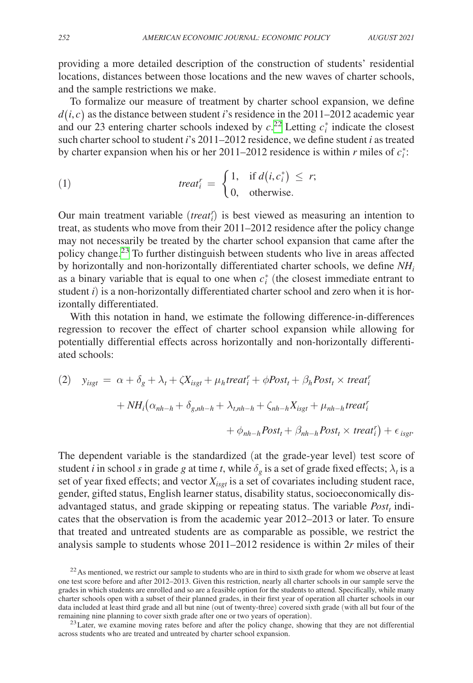providing a more detailed description of the construction of students' residential locations, distances between those locations and the new waves of charter schools, and the sample restrictions we make.

To formalize our measure of treatment by charter school expansion, we define  $d(i, c)$  as the distance between student *i*'s residence in the 2011–2012 academic year and our 23 entering charter schools indexed by  $c^{22}$  Letting  $c_i^*$  indicate the closest such charter school to student *i*'s 2011–2012 residence, we define student *i* as treated

Such cluster school to student *i* s 2011–2012 testedence, we define student *i* as teacher by charter expansion when his or her 2011–2012 residence is within *r* miles of 
$$
c_i^*
$$
:

\n(1)

\n
$$
treat_i^r = \begin{cases} 1, & \text{if } d(i, c_i^*) \leq r; \\ 0, & \text{otherwise.} \end{cases}
$$

Our main treatment variable (*treat<sup>r</sup>*) is best viewed as measuring an intention to treat, as students who move from their 2011–2012 residence after the policy change may not necessarily be treated by the charter school expansion that came after the policy change.[23](#page-13-1) To further distinguish between students who live in areas affected by horizontally and non-horizontally differentiated charter schools, we define *NHi* as a binary variable that is equal to one when  $c_i^*$  (the closest immediate entrant to student *i*) is a non-horizontally differentiated charter school and zero when it is horizontally differentiated.

With this notation in hand, we estimate the following difference-in-differences regression to recover the effect of charter school expansion while allowing for potentially differential effects across horizontally and non-horizontally differentiated schools:

(2) 
$$
y_{isgt} = \alpha + \delta_g + \lambda_t + \zeta X_{isgt} + \mu_h treat_i^r + \phi Post_t + \beta_h Post_t \times treat_i^r
$$
  
+  $NH_i(\alpha_{nh-h} + \delta_{g,nh-h} + \lambda_{t,nh-h} + \zeta_{nh-h} X_{isgt} + \mu_{nh-h} treat_i^r$   
+  $\phi_{nh-h} Post_t + \beta_{nh-h} Post_t \times treat_i^r$ ) +  $\epsilon_{isgt}$ .

The dependent variable is the standardized (at the grade-year level) test score of student *i* in school *s* in grade *g* at time *t*, while  $\delta_g$  is a set of grade fixed effects;  $\lambda_t$  is a set of year fixed effects; and vector  $X_{i<sub>set</sub>}$  is a set of covariates including student race, gender, gifted status, English learner status, disability status, socioeconomically disadvantaged status, and grade skipping or repeating status. The variable  $Post<sub>t</sub>$  indicates that the observation is from the academic year 2012–2013 or later. To ensure that treated and untreated students are as comparable as possible, we restrict the analysis sample to students whose 2011–2012 residence is within 2*r* miles of their

<span id="page-13-0"></span> $22$ As mentioned, we restrict our sample to students who are in third to sixth grade for whom we observe at least one test score before and after 2012–2013. Given this restriction, nearly all charter schools in our sample serve the grades in which students are enrolled and so are a feasible option for the students to attend. Specifically, while many charter schools open with a subset of their planned grades, in their first year of operation all charter schools in our data included at least third grade and all but nine (out of twenty-three) covered sixth grade (with all but four of the remaining nine planning to cover sixth grade after one or two years of operation).

<span id="page-13-1"></span><sup>&</sup>lt;sup>23</sup> Later, we examine moving rates before and after the policy change, showing that they are not differential across students who are treated and untreated by charter school expansion.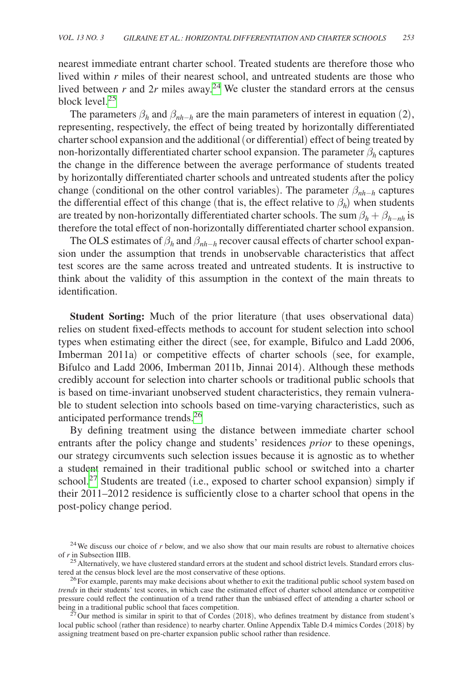nearest immediate entrant charter school. Treated students are therefore those who lived within *r* miles of their nearest school, and untreated students are those who lived between  $r$  and  $2r$  miles away.<sup>[24](#page-14-0)</sup> We cluster the standard errors at the census block level.[25](#page-14-1)

The parameters  $\beta_h$  and  $\beta_{nh-h}$  are the main parameters of interest in equation (2), representing, respectively, the effect of being treated by horizontally differentiated charter school expansion and the additional (or differential) effect of being treated by non-horizontally differentiated charter school expansion. The parameter  $\beta_h$  captures the change in the difference between the average performance of students treated by horizontally differentiated charter schools and untreated students after the policy change (conditional on the other control variables). The parameter  $\beta_{nh-h}$  captures the differential effect of this change (that is, the effect relative to  $\beta_h$ ) when students are treated by non-horizontally differentiated charter schools. The sum  $\beta_h + \beta_{h-nh}$  is therefore the total effect of non-horizontally differentiated charter school expansion.

The OLS estimates of  $\beta_h$  and  $\beta_{nh-h}$  recover causal effects of charter school expansion under the assumption that trends in unobservable characteristics that affect test scores are the same across treated and untreated students. It is instructive to think about the validity of this assumption in the context of the main threats to identification.

**Student Sorting:** Much of the prior literature (that uses observational data) relies on student fixed-effects methods to account for student selection into school types when estimating either the direct (see, for example, Bifulco and Ladd 2006, Imberman 2011a) or competitive effects of charter schools (see, for example, Bifulco and Ladd 2006, Imberman 2011b, Jinnai 2014). Although these methods credibly account for selection into charter schools or traditional public schools that is based on time-invariant unobserved student characteristics, they remain vulnerable to student selection into schools based on time-varying characteristics, such as anticipated performance trends.<sup>[26](#page-14-2)</sup>

By defining treatment using the distance between immediate charter school entrants after the policy change and students' residences *prior* to these openings, our strategy circumvents such selection issues because it is agnostic as to whether a student remained in their traditional public school or switched into a charter school.<sup>[27](#page-14-3)</sup> Students are treated (i.e., exposed to charter school expansion) simply if their 2011–2012 residence is sufficiently close to a charter school that opens in the post-policy change period.

<span id="page-14-0"></span><sup>&</sup>lt;sup>24</sup>We discuss our choice of *r* below, and we also show that our main results are robust to alternative choices of *r* in Subsection IIIB.

<span id="page-14-1"></span><sup>&</sup>lt;sup>25</sup> Alternatively, we have clustered standard errors at the student and school district levels. Standard errors clustered at the census block level are the most conservative of these options.<br><sup>26</sup>For example, parents may make decisions about whether to exit the traditional public school system based on

<span id="page-14-2"></span>*trends* in their students' test scores, in which case the estimated effect of charter school attendance or competitive pressure could reflect the continuation of a trend rather than the unbiased effect of attending a charter school or being in a traditional public school that faces competition.<br><sup>27</sup>Our method is similar in spirit to that of Cordes (2018), who defines treatment by distance from student's

<span id="page-14-3"></span>local public school (rather than residence) to nearby charter. Online Appendix Table D.4 mimics Cordes (2018) by assigning treatment based on pre-charter expansion public school rather than residence.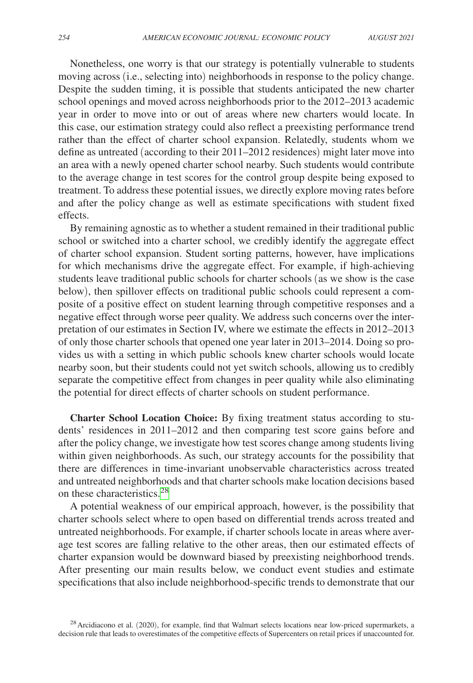Nonetheless, one worry is that our strategy is potentially vulnerable to students moving across (i.e., selecting into) neighborhoods in response to the policy change. Despite the sudden timing, it is possible that students anticipated the new charter school openings and moved across neighborhoods prior to the 2012–2013 academic year in order to move into or out of areas where new charters would locate. In this case, our estimation strategy could also reflect a preexisting performance trend rather than the effect of charter school expansion. Relatedly, students whom we define as untreated (according to their 2011–2012 residences) might later move into an area with a newly opened charter school nearby. Such students would contribute to the average change in test scores for the control group despite being exposed to treatment. To address these potential issues, we directly explore moving rates before and after the policy change as well as estimate specifications with student fixed effects.

By remaining agnostic as to whether a student remained in their traditional public school or switched into a charter school, we credibly identify the aggregate effect of charter school expansion. Student sorting patterns, however, have implications for which mechanisms drive the aggregate effect. For example, if high-achieving students leave traditional public schools for charter schools (as we show is the case below), then spillover effects on traditional public schools could represent a composite of a positive effect on student learning through competitive responses and a negative effect through worse peer quality. We address such concerns over the interpretation of our estimates in Section IV, where we estimate the effects in 2012–2013 of only those charter schools that opened one year later in 2013–2014. Doing so provides us with a setting in which public schools knew charter schools would locate nearby soon, but their students could not yet switch schools, allowing us to credibly separate the competitive effect from changes in peer quality while also eliminating the potential for direct effects of charter schools on student performance.

**Charter School Location Choice:** By fixing treatment status according to students' residences in 2011–2012 and then comparing test score gains before and after the policy change, we investigate how test scores change among students living within given neighborhoods. As such, our strategy accounts for the possibility that there are differences in time-invariant unobservable characteristics across treated and untreated neighborhoods and that charter schools make location decisions based on these characteristics.<sup>[28](#page-15-0)</sup>

A potential weakness of our empirical approach, however, is the possibility that charter schools select where to open based on differential trends across treated and untreated neighborhoods. For example, if charter schools locate in areas where average test scores are falling relative to the other areas, then our estimated effects of charter expansion would be downward biased by preexisting neighborhood trends. After presenting our main results below, we conduct event studies and estimate specifications that also include neighborhood-specific trends to demonstrate that our

<span id="page-15-0"></span> $^{28}$  Arcidiacono et al. (2020), for example, find that Walmart selects locations near low-priced supermarkets, a decision rule that leads to overestimates of the competitive effects of Supercenters on retail prices if unaccounted for.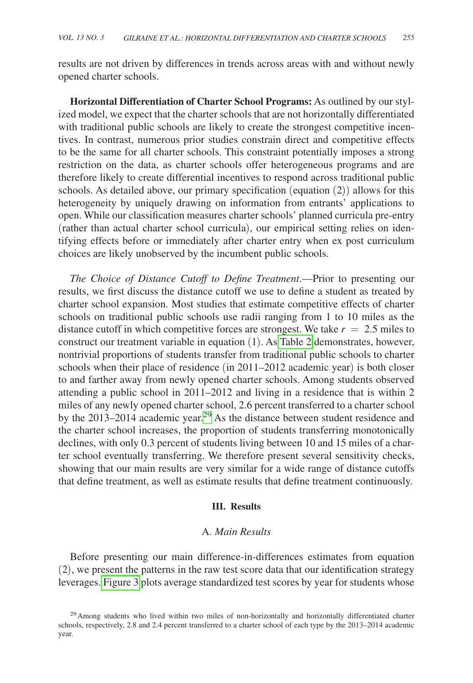results are not driven by differences in trends across areas with and without newly opened charter schools.

**Horizontal Differentiation of Charter School Programs:** As outlined by our stylized model, we expect that the charter schools that are not horizontally differentiated with traditional public schools are likely to create the strongest competitive incentives. In contrast, numerous prior studies constrain direct and competitive effects to be the same for all charter schools. This constraint potentially imposes a strong restriction on the data, as charter schools offer heterogeneous programs and are therefore likely to create differential incentives to respond across traditional public schools. As detailed above, our primary specification (equation (2)) allows for this heterogeneity by uniquely drawing on information from entrants' applications to open. While our classification measures charter schools' planned curricula pre-entry (rather than actual charter school curricula), our empirical setting relies on identifying effects before or immediately after charter entry when ex post curriculum choices are likely unobserved by the incumbent public schools.

*The Choice of Distance Cutoff to Define Treatment*.—Prior to presenting our results, we first discuss the distance cutoff we use to define a student as treated by charter school expansion. Most studies that estimate competitive effects of charter schools on traditional public schools use radii ranging from 1 to 10 miles as the distance cutoff in which competitive forces are strongest. We take  $r = 2.5$  miles to construct our treatment variable in equation (1). As [Table 2](#page-17-0) demonstrates, however, nontrivial proportions of students transfer from traditional public schools to charter schools when their place of residence (in 2011–2012 academic year) is both closer to and farther away from newly opened charter schools. Among students observed attending a public school in 2011–2012 and living in a residence that is within 2 miles of any newly opened charter school, 2.6 percent transferred to a charter school by the 2013–2014 academic year.<sup>29</sup> As the distance between student residence and the charter school increases, the proportion of students transferring monotonically declines, with only 0.3 percent of students living between 10 and 15 miles of a charter school eventually transferring. We therefore present several sensitivity checks, showing that our main results are very similar for a wide range of distance cutoffs that define treatment, as well as estimate results that define treatment continuously.

## **III. Results**

# A. *Main Results*

Before presenting our main difference-in-differences estimates from equation (2), we present the patterns in the raw test score data that our identification strategy leverages. [Figure 3](#page-18-0) plots average standardized test scores by year for students whose

<span id="page-16-0"></span><sup>&</sup>lt;sup>29</sup> Among students who lived within two miles of non-horizontally and horizontally differentiated charter schools, respectively, 2.8 and 2.4 percent transferred to a charter school of each type by the 2013–2014 academic year.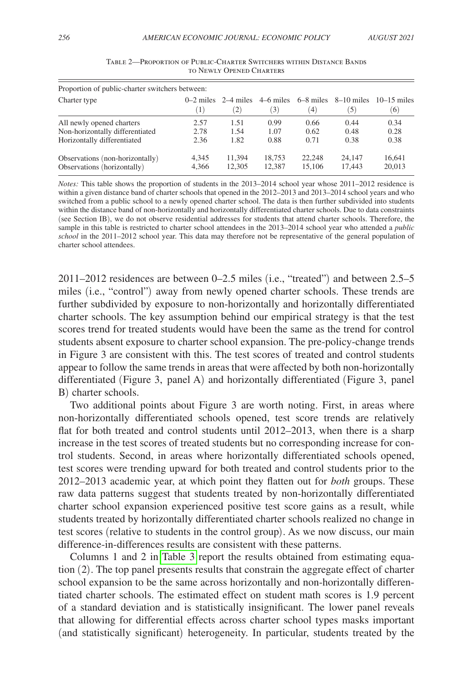<span id="page-17-0"></span>

| Proportion of public-charter switchers between: |                  |                                |                  |                    |                     |                      |
|-------------------------------------------------|------------------|--------------------------------|------------------|--------------------|---------------------|----------------------|
| Charter type                                    | $\left(1\right)$ | $0-2$ miles $2-4$ miles<br>(2) | 4–6 miles<br>(3) | $6-8$ miles<br>(4) | $8-10$ miles<br>(5) | $10-15$ miles<br>(6) |
| All newly opened charters                       | 2.57             | 1.51                           | 0.99             | 0.66               | 0.44                | 0.34                 |
| Non-horizontally differentiated                 | 2.78             | 1.54                           | 1.07             | 0.62               | 0.48                | 0.28                 |
| Horizontally differentiated                     | 2.36             | 1.82                           | 0.88             | 0.71               | 0.38                | 0.38                 |
| Observations (non-horizontally)                 | 4.345            | 11.394                         | 18.753           | 22,248             | 24,147              | 16.641               |
| Observations (horizontally)                     | 4,366            | 12.305                         | 12.387           | 15,106             | 17.443              | 20,013               |

Table 2—Proportion of Public-Charter Switchers within Distance Bands to Newly Opened Charters

*Notes:* This table shows the proportion of students in the 2013–2014 school year whose 2011–2012 residence is within a given distance band of charter schools that opened in the 2012–2013 and 2013–2014 school years and who switched from a public school to a newly opened charter school. The data is then further subdivided into students within the distance band of non-horizontally and horizontally differentiated charter schools. Due to data constraints (see Section IB), we do not observe residential addresses for students that attend charter schools. Therefore, the sample in this table is restricted to charter school attendees in the 2013–2014 school year who attended a *public school* in the 2011–2012 school year. This data may therefore not be representative of the general population of charter school attendees.

2011–2012 residences are between 0–2.5 miles (i.e., "treated") and between 2.5–5 miles (i.e., "control") away from newly opened charter schools. These trends are further subdivided by exposure to non-horizontally and horizontally differentiated charter schools. The key assumption behind our empirical strategy is that the test scores trend for treated students would have been the same as the trend for control students absent exposure to charter school expansion. The pre-policy-change trends in Figure 3 are consistent with this. The test scores of treated and control students appear to follow the same trends in areas that were affected by both non-horizontally differentiated (Figure 3, panel A) and horizontally differentiated (Figure 3, panel B) charter schools.

Two additional points about Figure 3 are worth noting. First, in areas where non-horizontally differentiated schools opened, test score trends are relatively flat for both treated and control students until 2012–2013, when there is a sharp increase in the test scores of treated students but no corresponding increase for control students. Second, in areas where horizontally differentiated schools opened, test scores were trending upward for both treated and control students prior to the 2012–2013 academic year, at which point they flatten out for *both* groups. These raw data patterns suggest that students treated by non-horizontally differentiated charter school expansion experienced positive test score gains as a result, while students treated by horizontally differentiated charter schools realized no change in test scores (relative to students in the control group). As we now discuss, our main difference-in-differences results are consistent with these patterns.

Columns 1 and 2 in [Table 3](#page-19-0) report the results obtained from estimating equation (2). The top panel presents results that constrain the aggregate effect of charter school expansion to be the same across horizontally and non-horizontally differentiated charter schools. The estimated effect on student math scores is 1.9 percent of a standard deviation and is statistically insignificant. The lower panel reveals that allowing for differential effects across charter school types masks important (and statistically significant) heterogeneity. In particular, students treated by the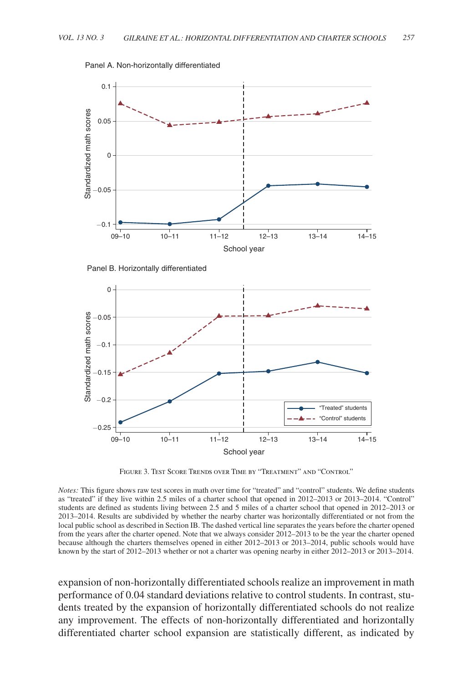<span id="page-18-0"></span>

Panel A. Non-horizontally differentiated

Panel B. Horizontally differentiated



Figure 3. Test Score Trends over Time by "Treatment" and "Control"

*Notes:* This figure shows raw test scores in math over time for "treated" and "control" students. We define students as "treated" if they live within 2.5 miles of a charter school that opened in 2012–2013 or 2013–2014. "Control" students are defined as students living between 2.5 and 5 miles of a charter school that opened in 2012–2013 or 2013–2014. Results are subdivided by whether the nearby charter was horizontally differentiated or not from the local public school as described in Section IB. The dashed vertical line separates the years before the charter opened from the years after the charter opened. Note that we always consider 2012–2013 to be the year the charter opened because although the charters themselves opened in either 2012–2013 or 2013–2014, public schools would have known by the start of 2012–2013 whether or not a charter was opening nearby in either 2012–2013 or 2013–2014.

expansion of non-horizontally differentiated schools realize an improvement in math performance of 0.04 standard deviations relative to control students. In contrast, students treated by the expansion of horizontally differentiated schools do not realize any improvement. The effects of non-horizontally differentiated and horizontally differentiated charter school expansion are statistically different, as indicated by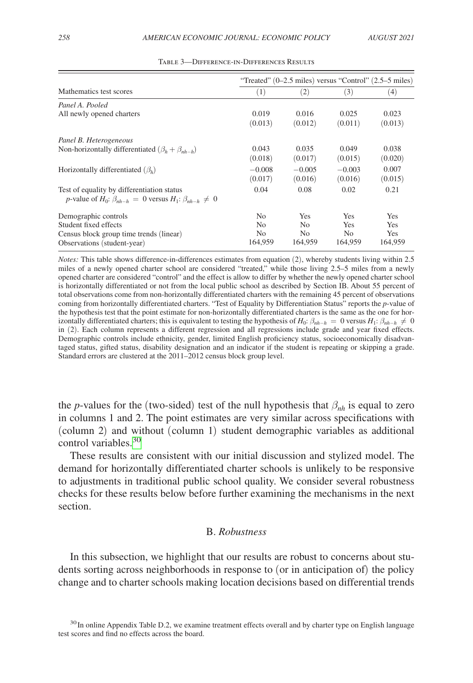<span id="page-19-0"></span>

|                                                                            | "Treated" $(0-2.5 \text{ miles})$ versus "Control" $(2.5-5 \text{ miles})$ |          |                |            |  |  |
|----------------------------------------------------------------------------|----------------------------------------------------------------------------|----------|----------------|------------|--|--|
| Mathematics test scores                                                    | (1)                                                                        | (2)      | (3)            | (4)        |  |  |
| Panel A. Pooled                                                            |                                                                            |          |                |            |  |  |
| All newly opened charters                                                  | 0.019                                                                      | 0.016    | 0.025          | 0.023      |  |  |
|                                                                            | (0.013)                                                                    | (0.012)  | (0.011)        | (0.013)    |  |  |
| Panel B. Heterogeneous                                                     |                                                                            |          |                |            |  |  |
| Non-horizontally differentiated $(\beta_h + \beta_{nh-h})$                 | 0.043                                                                      | 0.035    | 0.049          | 0.038      |  |  |
|                                                                            | (0.018)                                                                    | (0.017)  | (0.015)        | (0.020)    |  |  |
| Horizontally differentiated $(\beta_h)$                                    | $-0.008$                                                                   | $-0.005$ | $-0.003$       | 0.007      |  |  |
|                                                                            | (0.017)                                                                    | (0.016)  | (0.016)        | (0.015)    |  |  |
| Test of equality by differentiation status                                 | 0.04                                                                       | 0.08     | 0.02           | 0.21       |  |  |
| p-value of $H_0$ : $\beta_{nh-h} = 0$ versus $H_1$ : $\beta_{nh-h} \neq 0$ |                                                                            |          |                |            |  |  |
| Demographic controls                                                       | No.                                                                        | Yes      | <b>Yes</b>     | Yes        |  |  |
| Student fixed effects                                                      | No.                                                                        | No.      | <b>Yes</b>     | <b>Yes</b> |  |  |
| Census block group time trends (linear)                                    | No.                                                                        | No.      | N <sub>o</sub> | Yes        |  |  |
| Observations (student-year)                                                | 164,959                                                                    | 164,959  | 164,959        | 164,959    |  |  |

Table 3—Difference-in-Differences Results

*Notes:* This table shows difference-in-differences estimates from equation (2), whereby students living within 2.5 miles of a newly opened charter school are considered "treated," while those living 2.5–5 miles from a newly opened charter are considered "control" and the effect is allow to differ by whether the newly opened charter school is horizontally differentiated or not from the local public school as described by Section IB. About 55 percent of total observations come from non-horizontally differentiated charters with the remaining 45 percent of observations coming from horizontally differentiated charters. "Test of Equality by Differentiation Status" reports the *p*-value of the hypothesis test that the point estimate for non-horizontally differentiated charters is the same as the one for horizontally differentiated charters; this is equivalent to testing the hypothesis of  $H_0$ :  $\beta_{nh-h} = 0$  versus  $H_1$ :  $\beta_{nh-h} \neq 0$ in (2). Each column represents a different regression and all regressions include grade and year fixed effects. Demographic controls include ethnicity, gender, limited English proficiency status, socioeconomically disadvantaged status, gifted status, disability designation and an indicator if the student is repeating or skipping a grade. Standard errors are clustered at the 2011–2012 census block group level.

the *p*-values for the (two-sided) test of the null hypothesis that  $\beta_{nh}$  is equal to zero in columns 1 and 2. The point estimates are very similar across specifications with (column 2) and without (column 1) student demographic variables as additional control variables.<sup>[30](#page-19-1)</sup>

These results are consistent with our initial discussion and stylized model. The demand for horizontally differentiated charter schools is unlikely to be responsive to adjustments in traditional public school quality. We consider several robustness checks for these results below before further examining the mechanisms in the next section.

# B. *Robustness*

In this subsection, we highlight that our results are robust to concerns about students sorting across neighborhoods in response to (or in anticipation of) the policy change and to charter schools making location decisions based on differential trends

<span id="page-19-1"></span><sup>&</sup>lt;sup>30</sup>In online Appendix Table D.2, we examine treatment effects overall and by charter type on English language test scores and find no effects across the board.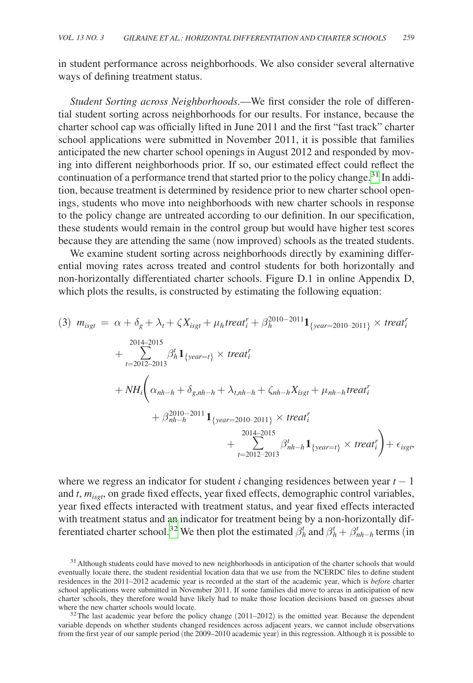in student performance across neighborhoods. We also consider several alternative ways of defining treatment status.

*Student Sorting across Neighborhoods*.—We first consider the role of differential student sorting across neighborhoods for our results. For instance, because the charter school cap was officially lifted in June 2011 and the first "fast track" charter school applications were submitted in November 2011, it is possible that families anticipated the new charter school openings in August 2012 and responded by moving into different neighborhoods prior. If so, our estimated effect could reflect the continuation of a performance trend that started prior to the policy change.<sup>31</sup> In addition, because treatment is determined by residence prior to new charter school openings, students who move into neighborhoods with new charter schools in response to the policy change are untreated according to our definition. In our specification, these students would remain in the control group but would have higher test scores because they are attending the same (now improved) schools as the treated students.

We examine student sorting across neighborhoods directly by examining differential moving rates across treated and control students for both horizontally and non-horizontally differentiated charter schools. Figure D.1 in online Appendix D, which plots the results, is constructed by estimating the following equation:

$$
(3) \ m_{isgt} = \alpha + \delta_g + \lambda_t + \zeta X_{isgt} + \mu_h treat_i^r + \beta_h^{2010-2011} \mathbf{1}_{\{year=2010-2011\}} \times treat_i^r
$$
  
+ 
$$
\sum_{t=2012-2013}^{2014-2015} \beta_h^t \mathbf{1}_{\{year=t\}} \times treat_i^r
$$
  
+ 
$$
NH_i \bigg( \alpha_{nh-h} + \delta_{g,nh-h} + \lambda_{t,nh-h} + \zeta_{nh-h} X_{isgt} + \mu_{nh-h} treat_i^r
$$
  
+ 
$$
\beta_{nh-h}^{2010-2011} \mathbf{1}_{\{year=2010-2011\}} \times treat_i^r
$$
  
+ 
$$
\sum_{t=2012-2013}^{2014-2015} \beta_{nh-h}^t \mathbf{1}_{\{year=t\}} \times treat_i^r \bigg) + \epsilon_{isgt},
$$

where we regress an indicator for student *i* changing residences between year  $t - 1$ and *t*,  $m_{ispt}$ , on grade fixed effects, year fixed effects, demographic control variables, year fixed effects interacted with treatment status, and year fixed effects interacted with treatment status and an indicator for treatment being by a non-horizontally differentiated charter school.<sup>32</sup> We then plot the estimated  $\beta_h^t$  and  $\beta_h^t + \beta_{nh-h}^t$  terms (in

<span id="page-20-0"></span><sup>&</sup>lt;sup>31</sup> Although students could have moved to new neighborhoods in anticipation of the charter schools that would eventually locate there, the student residential location data that we use from the NCERDC files to define student residences in the 2011–2012 academic year is recorded at the start of the academic year, which is *before* charter school applications were submitted in November 2011. If some families did move to areas in anticipation of new charter schools, they therefore would have likely had to make those location decisions based on guesses about where the new charter schools would locate.<br> $32$ The last academic year before the policy change (2011–2012) is the omitted year. Because the dependent

<span id="page-20-1"></span>variable depends on whether students changed residences across adjacent years, we cannot include observations from the first year of our sample period (the 2009–2010 academic year) in this regression. Although it is possible to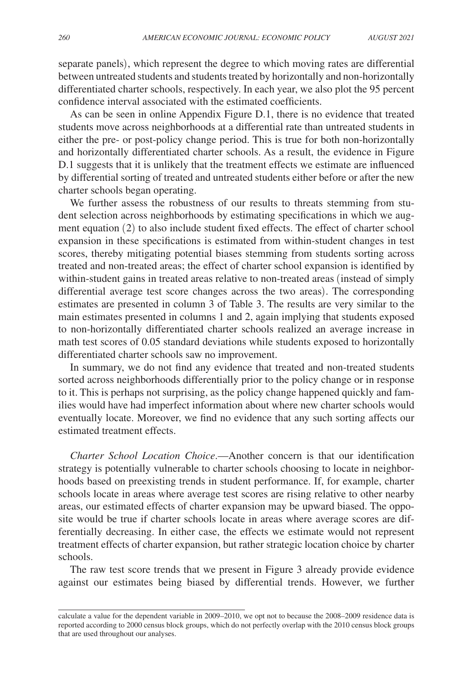separate panels), which represent the degree to which moving rates are differential between untreated students and students treated by horizontally and non-horizontally differentiated charter schools, respectively. In each year, we also plot the 95 percent confidence interval associated with the estimated coefficients.

As can be seen in online Appendix Figure D.1, there is no evidence that treated students move across neighborhoods at a differential rate than untreated students in either the pre- or post-policy change period. This is true for both non-horizontally and horizontally differentiated charter schools. As a result, the evidence in Figure D.1 suggests that it is unlikely that the treatment effects we estimate are influenced by differential sorting of treated and untreated students either before or after the new charter schools began operating.

We further assess the robustness of our results to threats stemming from student selection across neighborhoods by estimating specifications in which we augment equation (2) to also include student fixed effects. The effect of charter school expansion in these specifications is estimated from within-student changes in test scores, thereby mitigating potential biases stemming from students sorting across treated and non-treated areas; the effect of charter school expansion is identified by within-student gains in treated areas relative to non-treated areas (instead of simply differential average test score changes across the two areas). The corresponding estimates are presented in column 3 of Table 3. The results are very similar to the main estimates presented in columns 1 and 2, again implying that students exposed to non-horizontally differentiated charter schools realized an average increase in math test scores of 0.05 standard deviations while students exposed to horizontally differentiated charter schools saw no improvement.

In summary, we do not find any evidence that treated and non-treated students sorted across neighborhoods differentially prior to the policy change or in response to it. This is perhaps not surprising, as the policy change happened quickly and families would have had imperfect information about where new charter schools would eventually locate. Moreover, we find no evidence that any such sorting affects our estimated treatment effects.

*Charter School Location Choice*.—Another concern is that our identification strategy is potentially vulnerable to charter schools choosing to locate in neighborhoods based on preexisting trends in student performance. If, for example, charter schools locate in areas where average test scores are rising relative to other nearby areas, our estimated effects of charter expansion may be upward biased. The opposite would be true if charter schools locate in areas where average scores are differentially decreasing. In either case, the effects we estimate would not represent treatment effects of charter expansion, but rather strategic location choice by charter schools.

The raw test score trends that we present in Figure 3 already provide evidence against our estimates being biased by differential trends. However, we further

calculate a value for the dependent variable in 2009–2010, we opt not to because the 2008–2009 residence data is reported according to 2000 census block groups, which do not perfectly overlap with the 2010 census block groups that are used throughout our analyses.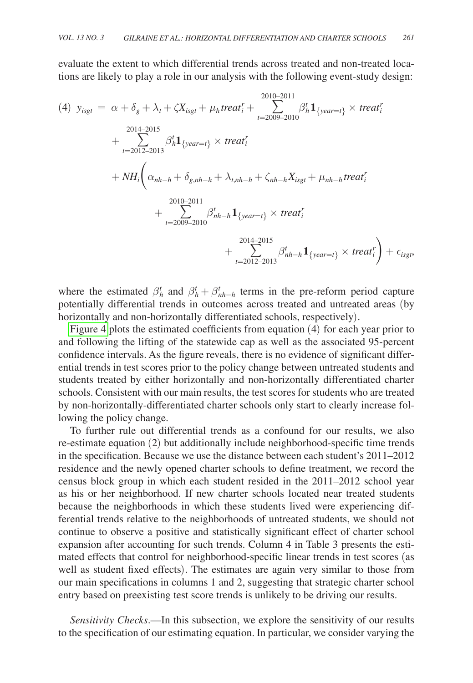evaluate the extent to which differential trends across treated and non-treated locations are likely to play a role in our analysis with the following event-study design:

(4) 
$$
y_{isgt} = \alpha + \delta_g + \lambda_t + \zeta X_{isgt} + \mu_h treat_i^r + \sum_{t=2009-2010}^{2010-2011} \beta_h^t \mathbf{1}_{\{year=t\}} \times treat_i^r
$$
  
\n $+ \sum_{t=2012-2013}^{2014-2015} \beta_h^t \mathbf{1}_{\{year=t\}} \times treat_i^r$   
\n $+ NH_i \bigg( \alpha_{nh-h} + \delta_{g,nh-h} + \lambda_{t,nh-h} + \zeta_{nh-h} X_{isgt} + \mu_{nh-h} treat_i^r$   
\n $+ \sum_{t=2009-2010}^{2010-2011} \beta_{nh-h}^t \mathbf{1}_{\{year=t\}} \times treat_i^r$   
\n $+ \sum_{t=2012-2013}^{2014-2015} \beta_{nh-h}^t \mathbf{1}_{\{year=t\}} \times treat_i^r$ 

where the estimated  $\beta_h^t$  and  $\beta_h^t + \beta_{nh-h}^t$  terms in the pre-reform period capture potentially differential trends in outcomes across treated and untreated areas (by horizontally and non-horizontally differentiated schools, respectively).

[Figure 4](#page-23-0) plots the estimated coefficients from equation (4) for each year prior to and following the lifting of the statewide cap as well as the associated 95-percent confidence intervals. As the figure reveals, there is no evidence of significant differential trends in test scores prior to the policy change between untreated students and students treated by either horizontally and non-horizontally differentiated charter schools. Consistent with our main results, the test scores for students who are treated by non-horizontally-differentiated charter schools only start to clearly increase following the policy change.

To further rule out differential trends as a confound for our results, we also re-estimate equation (2) but additionally include neighborhood-specific time trends in the specification. Because we use the distance between each student's 2011–2012 residence and the newly opened charter schools to define treatment, we record the census block group in which each student resided in the 2011–2012 school year as his or her neighborhood. If new charter schools located near treated students because the neighborhoods in which these students lived were experiencing differential trends relative to the neighborhoods of untreated students, we should not continue to observe a positive and statistically significant effect of charter school expansion after accounting for such trends. Column 4 in Table 3 presents the estimated effects that control for neighborhood-specific linear trends in test scores (as well as student fixed effects). The estimates are again very similar to those from our main specifications in columns 1 and 2, suggesting that strategic charter school entry based on preexisting test score trends is unlikely to be driving our results.

*Sensitivity Checks*.—In this subsection, we explore the sensitivity of our results to the specification of our estimating equation. In particular, we consider varying the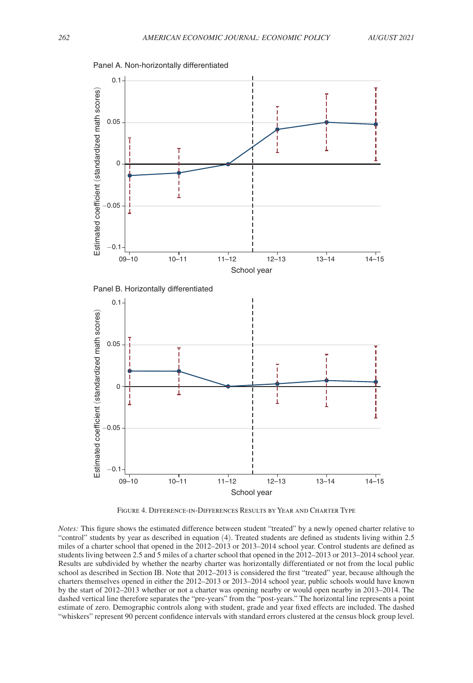<span id="page-23-0"></span>

FIGURE 4. DIFFERENCE-IN-DIFFERENCES RESULTS BY YEAR AND CHARTER TYPE

*Notes:* This figure shows the estimated difference between student "treated" by a newly opened charter relative to "control" students by year as described in equation (4). Treated students are defined as students living within 2.5 miles of a charter school that opened in the 2012–2013 or 2013–2014 school year. Control students are defined as students living between 2.5 and 5 miles of a charter school that opened in the 2012–2013 or 2013–2014 school year. Results are subdivided by whether the nearby charter was horizontally differentiated or not from the local public school as described in Section IB. Note that 2012–2013 is considered the first "treated" year, because although the charters themselves opened in either the 2012–2013 or 2013–2014 school year, public schools would have known by the start of 2012–2013 whether or not a charter was opening nearby or would open nearby in 2013–2014. The dashed vertical line therefore separates the "pre-years" from the "post-years." The horizontal line represents a point estimate of zero. Demographic controls along with student, grade and year fixed effects are included. The dashed "whiskers" represent 90 percent confidence intervals with standard errors clustered at the census block group level.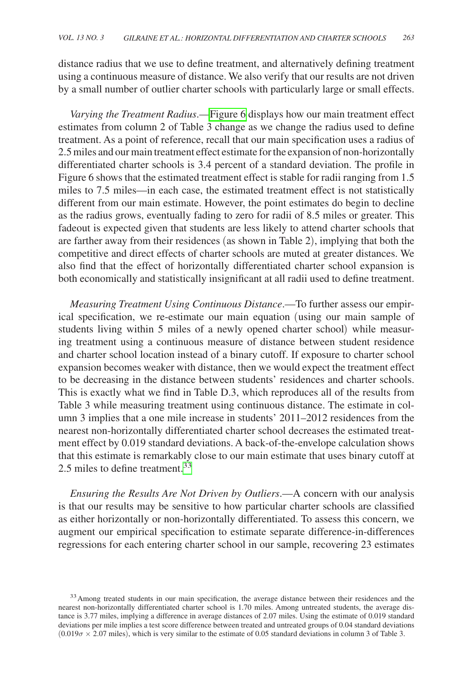distance radius that we use to define treatment, and alternatively defining treatment using a continuous measure of distance. We also verify that our results are not driven by a small number of outlier charter schools with particularly large or small effects.

*Varying the Treatment Radius*.[—Figure 6](#page-26-0) displays how our main treatment effect estimates from column 2 of Table 3 change as we change the radius used to define treatment. As a point of reference, recall that our main specification uses a radius of 2.5 miles and our main treatment effect estimate for the expansion of non-horizontally differentiated charter schools is 3.4 percent of a standard deviation. The profile in Figure 6 shows that the estimated treatment effect is stable for radii ranging from 1.5 miles to 7.5 miles—in each case, the estimated treatment effect is not statistically different from our main estimate. However, the point estimates do begin to decline as the radius grows, eventually fading to zero for radii of 8.5 miles or greater. This fadeout is expected given that students are less likely to attend charter schools that are farther away from their residences (as shown in Table 2), implying that both the competitive and direct effects of charter schools are muted at greater distances. We also find that the effect of horizontally differentiated charter school expansion is both economically and statistically insignificant at all radii used to define treatment.

*Measuring Treatment Using Continuous Distance*.—To further assess our empirical specification, we re-estimate our main equation (using our main sample of students living within 5 miles of a newly opened charter school) while measuring treatment using a continuous measure of distance between student residence and charter school location instead of a binary cutoff. If exposure to charter school expansion becomes weaker with distance, then we would expect the treatment effect to be decreasing in the distance between students' residences and charter schools. This is exactly what we find in Table D.3, which reproduces all of the results from Table 3 while measuring treatment using continuous distance. The estimate in column 3 implies that a one mile increase in students' 2011–2012 residences from the nearest non-horizontally differentiated charter school decreases the estimated treatment effect by 0.019 standard deviations. A back-of-the-envelope calculation shows that this estimate is remarkably close to our main estimate that uses binary cutoff at 2.5 miles to define treatment.<sup>33</sup>

*Ensuring the Results Are Not Driven by Outliers*.—A concern with our analysis is that our results may be sensitive to how particular charter schools are classified as either horizontally or non-horizontally differentiated. To assess this concern, we augment our empirical specification to estimate separate difference-in-differences regressions for each entering charter school in our sample, recovering 23 estimates

<span id="page-24-0"></span><sup>&</sup>lt;sup>33</sup> Among treated students in our main specification, the average distance between their residences and the nearest non-horizontally differentiated charter school is 1.70 miles. Among untreated students, the average distance is 3.77 miles, implying a difference in average distances of 2.07 miles. Using the estimate of 0.019 standard deviations per mile implies a test score difference between treated and untreated groups of 0.04 standard deviations  $(0.019\sigma \times 2.07 \text{ miles})$ , which is very similar to the estimate of 0.05 standard deviations in column 3 of Table 3.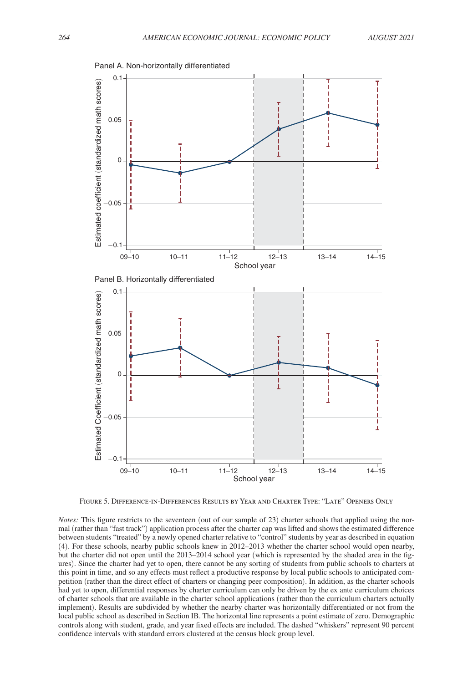<span id="page-25-0"></span>

Figure 5. Difference-in-Differences Results by Year and Charter Type: "Late" Openers Only

*Notes:* This figure restricts to the seventeen (out of our sample of 23) charter schools that applied using the normal (rather than "fast track") application process after the charter cap was lifted and shows the estimated difference between students "treated" by a newly opened charter relative to "control" students by year as described in equation (4). For these schools, nearby public schools knew in 2012–2013 whether the charter school would open nearby, but the charter did not open until the 2013–2014 school year (which is represented by the shaded area in the figures). Since the charter had yet to open, there cannot be any sorting of students from public schools to charters at this point in time, and so any effects must reflect a productive response by local public schools to anticipated competition (rather than the direct effect of charters or changing peer composition). In addition, as the charter schools had yet to open, differential responses by charter curriculum can only be driven by the ex ante curriculum choices of charter schools that are available in the charter school applications (rather than the curriculum charters actually implement). Results are subdivided by whether the nearby charter was horizontally differentiated or not from the local public school as described in Section IB. The horizontal line represents a point estimate of zero. Demographic controls along with student, grade, and year fixed effects are included. The dashed "whiskers" represent 90 percent confidence intervals with standard errors clustered at the census block group level.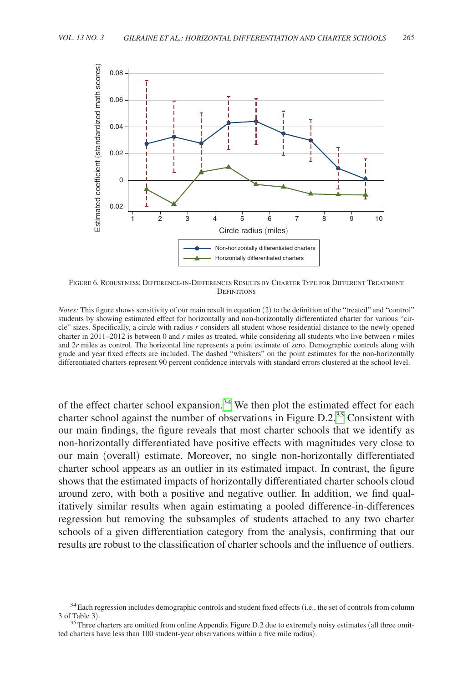<span id="page-26-0"></span>

Figure 6. Robustness: Difference-in-Differences Results by Charter Type for Different Treatment **DEFINITIONS** 

*Notes:* This figure shows sensitivity of our main result in equation (2) to the definition of the "treated" and "control" students by showing estimated effect for horizontally and non-horizontally differentiated charter for various "circle" sizes. Specifically, a circle with radius *r* considers all student whose residential distance to the newly opened charter in 2011–2012 is between 0 and *r* miles as treated, while considering all students who live between *r* miles and 2*r* miles as control. The horizontal line represents a point estimate of zero. Demographic controls along with grade and year fixed effects are included. The dashed "whiskers" on the point estimates for the non-horizontally differentiated charters represent 90 percent confidence intervals with standard errors clustered at the school level.

of the effect charter school expansion.<sup>34</sup> We then plot the estimated effect for each charter school against the number of observations in Figure D.2.[35](#page-26-2) Consistent with our main findings, the figure reveals that most charter schools that we identify as non-horizontally differentiated have positive effects with magnitudes very close to our main (overall) estimate. Moreover, no single non-horizontally differentiated charter school appears as an outlier in its estimated impact. In contrast, the figure shows that the estimated impacts of horizontally differentiated charter schools cloud around zero, with both a positive and negative outlier. In addition, we find qualitatively similar results when again estimating a pooled difference-in-differences regression but removing the subsamples of students attached to any two charter schools of a given differentiation category from the analysis, confirming that our results are robust to the classification of charter schools and the influence of outliers.

<span id="page-26-1"></span> $34$ Each regression includes demographic controls and student fixed effects (i.e., the set of controls from column 3 of Table 3).

<span id="page-26-2"></span> $35$ Three charters are omitted from online Appendix Figure D.2 due to extremely noisy estimates (all three omitted charters have less than 100 student-year observations within a five mile radius).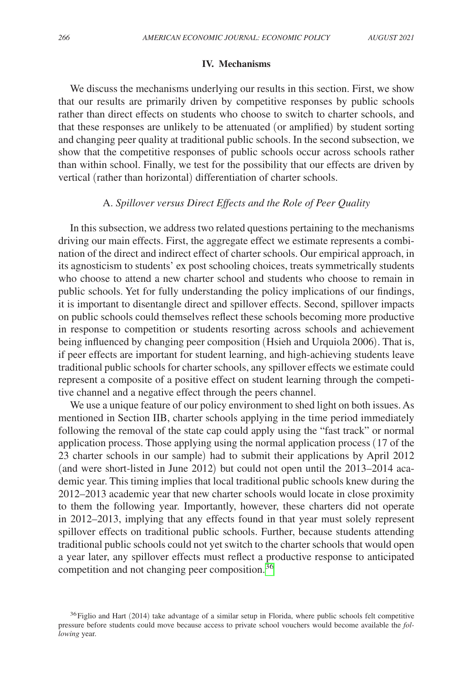## **IV. Mechanisms**

We discuss the mechanisms underlying our results in this section. First, we show that our results are primarily driven by competitive responses by public schools rather than direct effects on students who choose to switch to charter schools, and that these responses are unlikely to be attenuated (or amplified) by student sorting and changing peer quality at traditional public schools. In the second subsection, we show that the competitive responses of public schools occur across schools rather than within school. Finally, we test for the possibility that our effects are driven by vertical (rather than horizontal) differentiation of charter schools.

## A. *Spillover versus Direct Effects and the Role of Peer Quality*

In this subsection, we address two related questions pertaining to the mechanisms driving our main effects. First, the aggregate effect we estimate represents a combination of the direct and indirect effect of charter schools. Our empirical approach, in its agnosticism to students' ex post schooling choices, treats symmetrically students who choose to attend a new charter school and students who choose to remain in public schools. Yet for fully understanding the policy implications of our findings, it is important to disentangle direct and spillover effects. Second, spillover impacts on public schools could themselves reflect these schools becoming more productive in response to competition or students resorting across schools and achievement being influenced by changing peer composition (Hsieh and Urquiola 2006). That is, if peer effects are important for student learning, and high-achieving students leave traditional public schools for charter schools, any spillover effects we estimate could represent a composite of a positive effect on student learning through the competitive channel and a negative effect through the peers channel.

We use a unique feature of our policy environment to shed light on both issues. As mentioned in Section IIB, charter schools applying in the time period immediately following the removal of the state cap could apply using the "fast track" or normal application process. Those applying using the normal application process (17 of the 23 charter schools in our sample) had to submit their applications by April 2012 (and were short-listed in June 2012) but could not open until the 2013–2014 academic year. This timing implies that local traditional public schools knew during the 2012–2013 academic year that new charter schools would locate in close proximity to them the following year. Importantly, however, these charters did not operate in 2012–2013, implying that any effects found in that year must solely represent spillover effects on traditional public schools. Further, because students attending traditional public schools could not yet switch to the charter schools that would open a year later, any spillover effects must reflect a productive response to anticipated competition and not changing peer composition.<sup>[36](#page-27-0)</sup>

<span id="page-27-0"></span><sup>&</sup>lt;sup>36</sup>Figlio and Hart (2014) take advantage of a similar setup in Florida, where public schools felt competitive pressure before students could move because access to private school vouchers would become available the *following* year.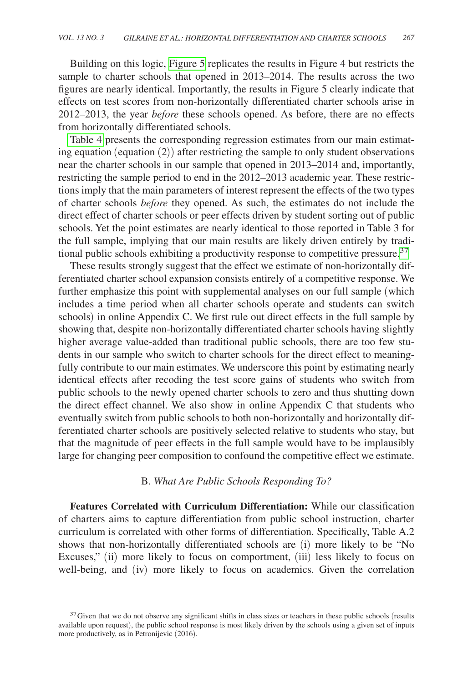Building on this logic, [Figure 5](#page-25-0) replicates the results in Figure 4 but restricts the sample to charter schools that opened in 2013–2014. The results across the two figures are nearly identical. Importantly, the results in Figure 5 clearly indicate that effects on test scores from non-horizontally differentiated charter schools arise in 2012–2013, the year *before* these schools opened. As before, there are no effects from horizontally differentiated schools.

[Table 4](#page-29-0) presents the corresponding regression estimates from our main estimating equation (equation (2)) after restricting the sample to only student observations near the charter schools in our sample that opened in 2013–2014 and, importantly, restricting the sample period to end in the 2012–2013 academic year. These restrictions imply that the main parameters of interest represent the effects of the two types of charter schools *before* they opened. As such, the estimates do not include the direct effect of charter schools or peer effects driven by student sorting out of public schools. Yet the point estimates are nearly identical to those reported in Table 3 for the full sample, implying that our main results are likely driven entirely by traditional public schools exhibiting a productivity response to competitive pressure[.37](#page-28-0)

These results strongly suggest that the effect we estimate of non-horizontally differentiated charter school expansion consists entirely of a competitive response. We further emphasize this point with supplemental analyses on our full sample (which includes a time period when all charter schools operate and students can switch schools) in online Appendix C. We first rule out direct effects in the full sample by showing that, despite non-horizontally differentiated charter schools having slightly higher average value-added than traditional public schools, there are too few students in our sample who switch to charter schools for the direct effect to meaningfully contribute to our main estimates. We underscore this point by estimating nearly identical effects after recoding the test score gains of students who switch from public schools to the newly opened charter schools to zero and thus shutting down the direct effect channel. We also show in online Appendix C that students who eventually switch from public schools to both non-horizontally and horizontally differentiated charter schools are positively selected relative to students who stay, but that the magnitude of peer effects in the full sample would have to be implausibly large for changing peer composition to confound the competitive effect we estimate.

#### B. *What Are Public Schools Responding To?*

**Features Correlated with Curriculum Differentiation:** While our classification of charters aims to capture differentiation from public school instruction, charter curriculum is correlated with other forms of differentiation. Specifically, Table A.2 shows that non-horizontally differentiated schools are (i) more likely to be "No Excuses," (ii) more likely to focus on comportment, (iii) less likely to focus on well-being, and (iv) more likely to focus on academics. Given the correlation

<span id="page-28-0"></span> $37$  Given that we do not observe any significant shifts in class sizes or teachers in these public schools (results available upon request), the public school response is most likely driven by the schools using a given set of inputs more productively, as in Petronijevic (2016).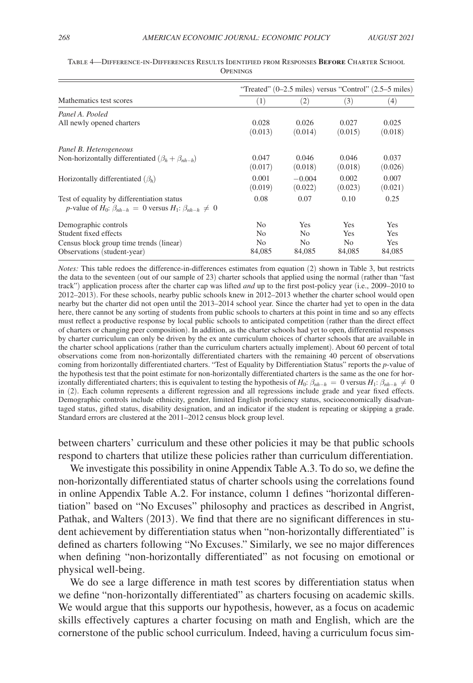|                                                                            | "Treated" $(0-2.5 \text{ miles})$ versus "Control" $(2.5-5 \text{ miles})$ |          |            |            |  |  |
|----------------------------------------------------------------------------|----------------------------------------------------------------------------|----------|------------|------------|--|--|
| Mathematics test scores                                                    | (1)                                                                        | (2)      | (3)        | (4)        |  |  |
| Panel A. Pooled                                                            |                                                                            |          |            |            |  |  |
| All newly opened charters                                                  | 0.028                                                                      | 0.026    | 0.027      | 0.025      |  |  |
|                                                                            | (0.013)                                                                    | (0.014)  | (0.015)    | (0.018)    |  |  |
| Panel B. Heterogeneous                                                     |                                                                            |          |            |            |  |  |
| Non-horizontally differentiated $(\beta_h + \beta_{nh-h})$                 | 0.047                                                                      | 0.046    | 0.046      | 0.037      |  |  |
|                                                                            | (0.017)                                                                    | (0.018)  | (0.018)    | (0.026)    |  |  |
| Horizontally differentiated $(\beta_h)$                                    | 0.001                                                                      | $-0.004$ | 0.002      | 0.007      |  |  |
|                                                                            | (0.019)                                                                    | (0.022)  | (0.023)    | (0.021)    |  |  |
| Test of equality by differentiation status                                 | 0.08                                                                       | 0.07     | 0.10       | 0.25       |  |  |
| p-value of $H_0$ : $\beta_{nh-h} = 0$ versus $H_1$ : $\beta_{nh-h} \neq 0$ |                                                                            |          |            |            |  |  |
| Demographic controls                                                       | No.                                                                        | Yes      | <b>Yes</b> | Yes        |  |  |
| Student fixed effects                                                      | No.                                                                        | No       | <b>Yes</b> | Yes        |  |  |
| Census block group time trends (linear)                                    | No.                                                                        | No.      | No.        | <b>Yes</b> |  |  |
| Observations (student-year)                                                | 84,085                                                                     | 84,085   | 84,085     | 84,085     |  |  |

<span id="page-29-0"></span>

| TABLE 4—DIFFERENCE-IN-DIFFERENCES RESULTS IDENTIFIED FROM RESPONSES BEFORE CHARTER SCHOOL |                 |  |  |
|-------------------------------------------------------------------------------------------|-----------------|--|--|
|                                                                                           | <b>OPENINGS</b> |  |  |

*Notes:* This table redoes the difference-in-differences estimates from equation (2) shown in Table 3, but restricts the data to the seventeen (out of our sample of 23) charter schools that applied using the normal (rather than "fast track") application process after the charter cap was lifted *and* up to the first post-policy year (i.e., 2009–2010 to 2012–2013). For these schools, nearby public schools knew in 2012–2013 whether the charter school would open nearby but the charter did not open until the 2013–2014 school year. Since the charter had yet to open in the data here, there cannot be any sorting of students from public schools to charters at this point in time and so any effects must reflect a productive response by local public schools to anticipated competition (rather than the direct effect of charters or changing peer composition). In addition, as the charter schools had yet to open, differential responses by charter curriculum can only be driven by the ex ante curriculum choices of charter schools that are available in the charter school applications (rather than the curriculum charters actually implement). About 60 percent of total observations come from non-horizontally differentiated charters with the remaining 40 percent of observations coming from horizontally differentiated charters. "Test of Equality by Differentiation Status" reports the *p*-value of the hypothesis test that the point estimate for non-horizontally differentiated charters is the same as the one for horizontally differentiated charters; this is equivalent to testing the hypothesis of  $H_0$ :  $\beta_{nh-h} = 0$  versus  $H_1$ :  $\beta_{nh-h} \neq 0$ in (2). Each column represents a different regression and all regressions include grade and year fixed effects. Demographic controls include ethnicity, gender, limited English proficiency status, socioeconomically disadvantaged status, gifted status, disability designation, and an indicator if the student is repeating or skipping a grade. Standard errors are clustered at the 2011–2012 census block group level.

between charters' curriculum and these other policies it may be that public schools respond to charters that utilize these policies rather than curriculum differentiation.

We investigate this possibility in onine Appendix Table A.3. To do so, we define the non-horizontally differentiated status of charter schools using the correlations found in online Appendix Table A.2. For instance, column 1 defines "horizontal differentiation" based on "No Excuses" philosophy and practices as described in Angrist, Pathak, and Walters (2013). We find that there are no significant differences in student achievement by differentiation status when "non-horizontally differentiated" is defined as charters following "No Excuses." Similarly, we see no major differences when defining "non-horizontally differentiated" as not focusing on emotional or physical well-being.

We do see a large difference in math test scores by differentiation status when we define "non-horizontally differentiated" as charters focusing on academic skills. We would argue that this supports our hypothesis, however, as a focus on academic skills effectively captures a charter focusing on math and English, which are the cornerstone of the public school curriculum. Indeed, having a curriculum focus sim-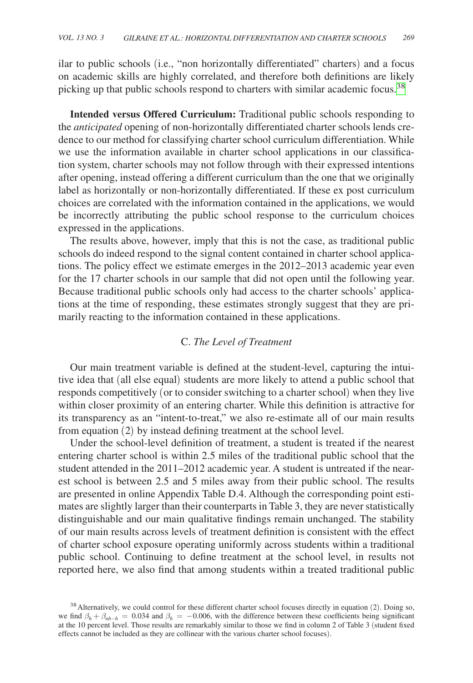ilar to public schools (i.e., "non horizontally differentiated" charters) and a focus on academic skills are highly correlated, and therefore both definitions are likely picking up that public schools respond to charters with similar academic focus.<sup>[38](#page-30-0)</sup>

**Intended versus Offered Curriculum:** Traditional public schools responding to the *anticipated* opening of non-horizontally differentiated charter schools lends credence to our method for classifying charter school curriculum differentiation. While we use the information available in charter school applications in our classification system, charter schools may not follow through with their expressed intentions after opening, instead offering a different curriculum than the one that we originally label as horizontally or non-horizontally differentiated. If these ex post curriculum choices are correlated with the information contained in the applications, we would be incorrectly attributing the public school response to the curriculum choices expressed in the applications.

The results above, however, imply that this is not the case, as traditional public schools do indeed respond to the signal content contained in charter school applications. The policy effect we estimate emerges in the 2012–2013 academic year even for the 17 charter schools in our sample that did not open until the following year. Because traditional public schools only had access to the charter schools' applications at the time of responding, these estimates strongly suggest that they are primarily reacting to the information contained in these applications.

# C. *The Level of Treatment*

Our main treatment variable is defined at the student-level, capturing the intuitive idea that (all else equal) students are more likely to attend a public school that responds competitively (or to consider switching to a charter school) when they live within closer proximity of an entering charter. While this definition is attractive for its transparency as an "intent-to-treat," we also re-estimate all of our main results from equation (2) by instead defining treatment at the school level.

Under the school-level definition of treatment, a student is treated if the nearest entering charter school is within 2.5 miles of the traditional public school that the student attended in the 2011–2012 academic year. A student is untreated if the nearest school is between 2.5 and 5 miles away from their public school. The results are presented in online Appendix Table D.4. Although the corresponding point estimates are slightly larger than their counterparts in Table 3, they are never statistically distinguishable and our main qualitative findings remain unchanged. The stability of our main results across levels of treatment definition is consistent with the effect of charter school exposure operating uniformly across students within a traditional public school. Continuing to define treatment at the school level, in results not reported here, we also find that among students within a treated traditional public

<span id="page-30-0"></span> $38$  Alternatively, we could control for these different charter school focuses directly in equation (2). Doing so, we find  $\beta_h + \beta_{nh-h} = 0.034$  and  $\beta_h = -0.006$ , with the difference between these coefficients being significant at the 10 percent level. Those results are remarkably similar to those we find in column 2 of Table 3 (student fixed effects cannot be included as they are collinear with the various charter school focuses).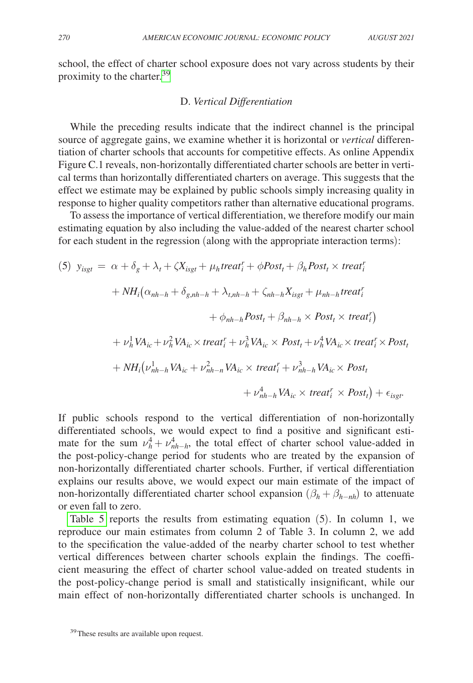school, the effect of charter school exposure does not vary across students by their proximity to the charter.[39](#page-31-0)

## D. *Vertical Differentiation*

While the preceding results indicate that the indirect channel is the principal source of aggregate gains, we examine whether it is horizontal or *vertical* differentiation of charter schools that accounts for competitive effects. As online Appendix Figure C.1 reveals, non-horizontally differentiated charter schools are better in vertical terms than horizontally differentiated charters on average. This suggests that the effect we estimate may be explained by public schools simply increasing quality in response to higher quality competitors rather than alternative educational programs.

To assess the importance of vertical differentiation, we therefore modify our main estimating equation by also including the value-added of the nearest charter school for each student in the regression (along with the appropriate interaction terms):

(5) 
$$
y_{isgt} = \alpha + \delta_g + \lambda_t + \zeta X_{isgt} + \mu_h treat_i^r + \phi Post_t + \beta_h Post_t \times treat_i^r
$$

$$
+ NH_i(\alpha_{nh-h} + \delta_{g,nh-h} + \lambda_{t,nh-h} + \zeta_{nh-h} X_{isgt} + \mu_{nh-h} treat_i^r
$$

$$
+ \phi_{nh-h} Post_t + \beta_{nh-h} \times Post_t \times treat_i^r
$$

$$
+ \nu_h^1 VA_{ic} + \nu_h^2 VA_{ic} \times treat_i^r + \nu_h^3 VA_{ic} \times Post_t + \nu_h^4 VA_{ic} \times treat_i^r \times Post_t
$$

$$
+ NH_i(\nu_{nh-h}^1 VA_{ic} + \nu_{nh-h}^2 VA_{ic} \times treat_i^r + \nu_{nh-h}^3 VA_{ic} \times Post_t
$$

$$
+ \nu_{nh-h}^4 VA_{ic} \times treat_i^r \times Post_t
$$

$$
+ \nu_{nh-h}^4 VA_{ic} \times treat_i^r \times Post_t
$$

If public schools respond to the vertical differentiation of non-horizontally differentiated schools, we would expect to find a positive and significant estimate for the sum  $\nu_h^4 + \nu_{nh-h}^4$ , the total effect of charter school value-added in the post-policy-change period for students who are treated by the expansion of non-horizontally differentiated charter schools. Further, if vertical differentiation explains our results above, we would expect our main estimate of the impact of non-horizontally differentiated charter school expansion  $(\beta_h + \beta_{h-nh})$  to attenuate or even fall to zero.

Table 5 reports the results from estimating equation  $(5)$ . In column 1, we reproduce our main estimates from column 2 of Table 3. In column 2, we add to the specification the value-added of the nearby charter school to test whether vertical differences between charter schools explain the findings. The coefficient measuring the effect of charter school value-added on treated students in the post-policy-change period is small and statistically insignificant, while our main effect of non-horizontally differentiated charter schools is unchanged. In

<span id="page-31-0"></span><sup>&</sup>lt;sup>39</sup>These results are available upon request.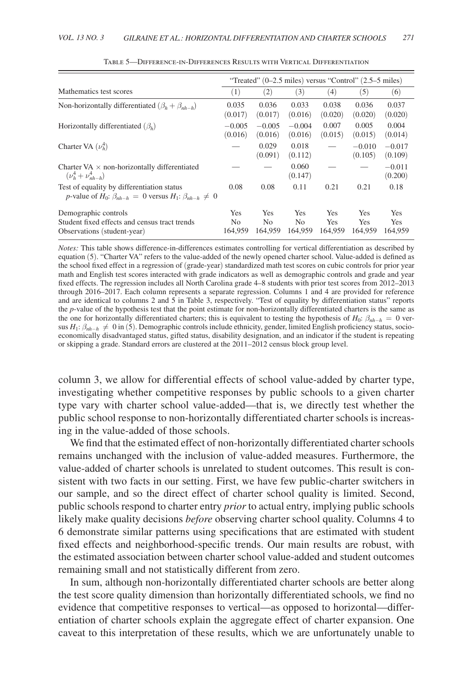<span id="page-32-0"></span>

|                                                                                                                          | "Treated" $(0-2.5 \text{ miles})$ versus "Control" $(2.5-5 \text{ miles})$ |                                         |                                         |                              |                              |                                     |
|--------------------------------------------------------------------------------------------------------------------------|----------------------------------------------------------------------------|-----------------------------------------|-----------------------------------------|------------------------------|------------------------------|-------------------------------------|
| Mathematics test scores                                                                                                  | (1)                                                                        | (2)                                     | (3)                                     | (4)                          | (5)                          | (6)                                 |
| Non-horizontally differentiated $(\beta_h + \beta_{nh-h})$                                                               | 0.035<br>(0.017)                                                           | 0.036<br>(0.017)                        | 0.033<br>(0.016)                        | 0.038<br>(0.020)             | 0.036<br>(0.020)             | 0.037<br>(0.020)                    |
| Horizontally differentiated $(\beta_h)$                                                                                  | $-0.005$<br>(0.016)                                                        | $-0.005$<br>(0.016)                     | $-0.004$<br>(0.016)                     | 0.007<br>(0.015)             | 0.005<br>(0.015)             | 0.004<br>(0.014)                    |
| Charter VA $(\nu_h^4)$                                                                                                   |                                                                            | 0.029<br>(0.091)                        | 0.018<br>(0.112)                        |                              | $-0.010$<br>(0.105)          | $-0.017$<br>(0.109)                 |
| Charter VA $\times$ non-horizontally differentiated<br>$(\nu_h^4 + \nu_{nh-h}^4)$                                        |                                                                            |                                         | 0.060<br>(0.147)                        |                              |                              | $-0.011$<br>(0.200)                 |
| Test of equality by differentiation status<br>p-value of $H_0$ : $\beta_{nh-h} = 0$ versus $H_1$ : $\beta_{nh-h} \neq 0$ | 0.08                                                                       | 0.08                                    | 0.11                                    | 0.21                         | 0.21                         | 0.18                                |
| Demographic controls<br>Student fixed effects and census tract trends<br>Observations (student-year)                     | <b>Yes</b><br>N <sub>0</sub><br>164.959                                    | <b>Yes</b><br>N <sub>0</sub><br>164.959 | <b>Yes</b><br>N <sub>0</sub><br>164.959 | <b>Yes</b><br>Yes<br>164.959 | <b>Yes</b><br>Yes<br>164.959 | <b>Yes</b><br><b>Yes</b><br>164.959 |

*Notes:* This table shows difference-in-differences estimates controlling for vertical differentiation as described by equation (5). "Charter VA" refers to the value-added of the newly opened charter school. Value-added is defined as the school fixed effect in a regression of (grade-year) standardized math test scores on cubic controls for prior year math and English test scores interacted with grade indicators as well as demographic controls and grade and year fixed effects. The regression includes all North Carolina grade 4–8 students with prior test scores from 2012–2013 through 2016–2017. Each column represents a separate regression. Columns 1 and 4 are provided for reference and are identical to columns 2 and 5 in Table 3, respectively. "Test of equality by differentiation status" reports the *p*-value of the hypothesis test that the point estimate for non-horizontally differentiated charters is the same as the one for horizontally differentiated charters; this is equivalent to testing the hypothesis of *H*0: β*nh*−*<sup>h</sup>* = 0 versus *H*1: β*nh*−*<sup>h</sup>* ≠ 0 in (5). Demographic controls include ethnicity, gender, limited English proficiency status, socioeconomically disadvantaged status, gifted status, disability designation, and an indicator if the student is repeating or skipping a grade. Standard errors are clustered at the 2011–2012 census block group level.

column 3, we allow for differential effects of school value-added by charter type, investigating whether competitive responses by public schools to a given charter type vary with charter school value-added—that is, we directly test whether the public school response to non-horizontally differentiated charter schools is increasing in the value-added of those schools.

We find that the estimated effect of non-horizontally differentiated charter schools remains unchanged with the inclusion of value-added measures. Furthermore, the value-added of charter schools is unrelated to student outcomes. This result is consistent with two facts in our setting. First, we have few public-charter switchers in our sample, and so the direct effect of charter school quality is limited. Second, public schools respond to charter entry *prior* to actual entry, implying public schools likely make quality decisions *before* observing charter school quality. Columns 4 to 6 demonstrate similar patterns using specifications that are estimated with student fixed effects and neighborhood-specific trends. Our main results are robust, with the estimated association between charter school value-added and student outcomes remaining small and not statistically different from zero.

In sum, although non-horizontally differentiated charter schools are better along the test score quality dimension than horizontally differentiated schools, we find no evidence that competitive responses to vertical—as opposed to horizontal—differentiation of charter schools explain the aggregate effect of charter expansion. One caveat to this interpretation of these results, which we are unfortunately unable to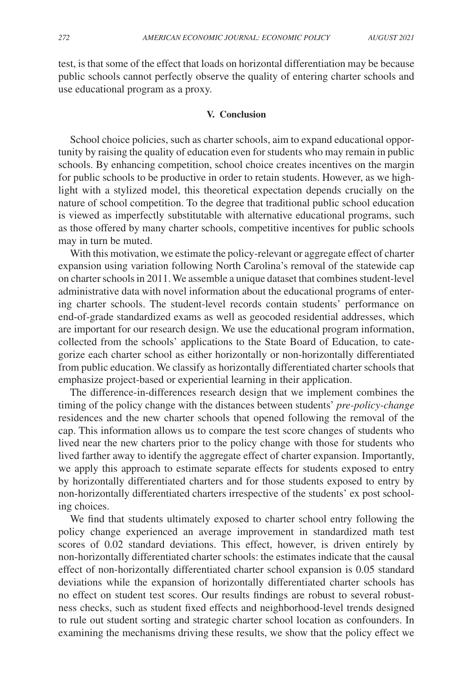test, is that some of the effect that loads on horizontal differentiation may be because public schools cannot perfectly observe the quality of entering charter schools and use educational program as a proxy.

### **V. Conclusion**

School choice policies, such as charter schools, aim to expand educational opportunity by raising the quality of education even for students who may remain in public schools. By enhancing competition, school choice creates incentives on the margin for public schools to be productive in order to retain students. However, as we highlight with a stylized model, this theoretical expectation depends crucially on the nature of school competition. To the degree that traditional public school education is viewed as imperfectly substitutable with alternative educational programs, such as those offered by many charter schools, competitive incentives for public schools may in turn be muted.

With this motivation, we estimate the policy-relevant or aggregate effect of charter expansion using variation following North Carolina's removal of the statewide cap on charter schools in 2011. We assemble a unique dataset that combines student-level administrative data with novel information about the educational programs of entering charter schools. The student-level records contain students' performance on end-of-grade standardized exams as well as geocoded residential addresses, which are important for our research design. We use the educational program information, collected from the schools' applications to the State Board of Education, to categorize each charter school as either horizontally or non-horizontally differentiated from public education. We classify as horizontally differentiated charter schools that emphasize project-based or experiential learning in their application.

The difference-in-differences research design that we implement combines the timing of the policy change with the distances between students' *pre-policy-change* residences and the new charter schools that opened following the removal of the cap. This information allows us to compare the test score changes of students who lived near the new charters prior to the policy change with those for students who lived farther away to identify the aggregate effect of charter expansion. Importantly, we apply this approach to estimate separate effects for students exposed to entry by horizontally differentiated charters and for those students exposed to entry by non-horizontally differentiated charters irrespective of the students' ex post schooling choices.

We find that students ultimately exposed to charter school entry following the policy change experienced an average improvement in standardized math test scores of 0.02 standard deviations. This effect, however, is driven entirely by non-horizontally differentiated charter schools: the estimates indicate that the causal effect of non-horizontally differentiated charter school expansion is 0.05 standard deviations while the expansion of horizontally differentiated charter schools has no effect on student test scores. Our results findings are robust to several robustness checks, such as student fixed effects and neighborhood-level trends designed to rule out student sorting and strategic charter school location as confounders. In examining the mechanisms driving these results, we show that the policy effect we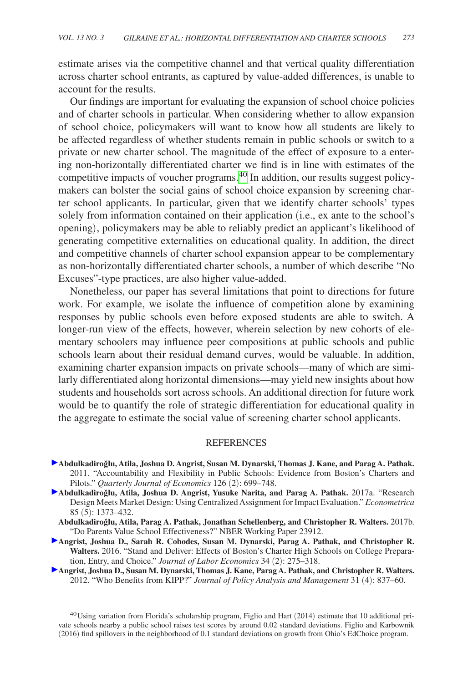estimate arises via the competitive channel and that vertical quality differentiation across charter school entrants, as captured by value-added differences, is unable to account for the results.

Our findings are important for evaluating the expansion of school choice policies and of charter schools in particular. When considering whether to allow expansion of school choice, policymakers will want to know how all students are likely to be affected regardless of whether students remain in public schools or switch to a private or new charter school. The magnitude of the effect of exposure to a entering non-horizontally differentiated charter we find is in line with estimates of the competitive impacts of voucher programs.<sup>[40](#page-34-0)</sup> In addition, our results suggest policymakers can bolster the social gains of school choice expansion by screening charter school applicants. In particular, given that we identify charter schools' types solely from information contained on their application (i.e., ex ante to the school's opening), policymakers may be able to reliably predict an applicant's likelihood of generating competitive externalities on educational quality. In addition, the direct and competitive channels of charter school expansion appear to be complementary as non-horizontally differentiated charter schools, a number of which describe "No Excuses"-type practices, are also higher value-added.

Nonetheless, our paper has several limitations that point to directions for future work. For example, we isolate the influence of competition alone by examining responses by public schools even before exposed students are able to switch. A longer-run view of the effects, however, wherein selection by new cohorts of elementary schoolers may influence peer compositions at public schools and public schools learn about their residual demand curves, would be valuable. In addition, examining charter expansion impacts on private schools—many of which are similarly differentiated along horizontal dimensions—may yield new insights about how students and households sort across schools. An additional direction for future work would be to quantify the role of strategic differentiation for educational quality in the aggregate to estimate the social value of screening charter school applicants.

#### REFERENCES

- Abdulkadiroğlu, Atila, Joshua D. Angrist, Susan M. Dynarski, Thomas J. Kane, and Parag A. Pathak. 2011. "Accountability and Flexibility in Public Schools: Evidence from Boston's Charters and Pilots." *Quarterly Journal of Economics* 126 (2): 699–748.
- Abdulkadiroğlu, Atila, Joshua D. Angrist, Yusuke Narita, and Parag A. Pathak. 2017a. "Research Design Meets Market Design: Using Centralized Assignment for Impact Evaluation." *Econometrica* 85 (5): 1373–432.
	- Abdulkadiroğlu, Atila, Parag A. Pathak, Jonathan Schellenberg, and Christopher R. Walters. 2017b. "Do Parents Value School Effectiveness?" NBER Working Paper 23912.
- **Angrist, Joshua D., Sarah R. Cohodes, Susan M. Dynarski, Parag A. Pathak, and Christopher R. Walters.** 2016. "Stand and Deliver: Effects of Boston's Charter High Schools on College Preparation, Entry, and Choice." *Journal of Labor Economics* 34 (2): 275–318.
- **Angrist, Joshua D., Susan M. Dynarski, Thomas J. Kane, Parag A. Pathak, and Christopher R. Walters.**  2012. "Who Benefits from KIPP?" *Journal of Policy Analysis and Management* 31 (4): 837–60.

<span id="page-34-0"></span><sup>40</sup>Using variation from Florida's scholarship program, Figlio and Hart (2014) estimate that 10 additional private schools nearby a public school raises test scores by around 0.02 standard deviations. Figlio and Karbownik (2016) find spillovers in the neighborhood of 0.1 standard deviations on growth from Ohio's EdChoice program.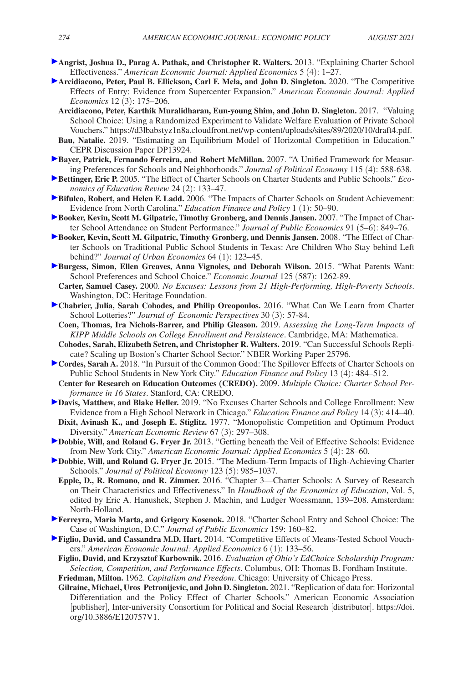- **Angrist, Joshua D., Parag A. Pathak, and Christopher R. Walters.** 2013. "Explaining Charter School Effectiveness." *American Economic Journal: Applied Economics* 5 (4): 1–27.
- **Arcidiacono, Peter, Paul B. Ellickson, Carl F. Mela, and John D. Singleton.** 2020. "The Competitive Effects of Entry: Evidence from Supercenter Expansion." *American Economic Journal: Applied Economics* 12 (3): 175–206.
	- **Arcidiacono, Peter, Karthik Muralidharan, Eun-young Shim, and John D. Singleton.** 2017. "Valuing School Choice: Using a Randomized Experiment to Validate Welfare Evaluation of Private School Vouchers."<https://d3lbabstyz1n8a.cloudfront.net/wp-content/uploads/sites/89/2020/10/draft4.pdf>.
	- **Bau, Natalie.** 2019. "Estimating an Equilibrium Model of Horizontal Competition in Education." CEPR Discussion Paper DP13924.
- **Bayer, Patrick, Fernando Ferreira, and Robert McMillan.** 2007. "A Unified Framework for Measuring Preferences for Schools and Neighborhoods." *Journal of Political Economy* 115 (4): 588-638.
- **Bettinger, Eric P.** 2005. "The Effect of Charter Schools on Charter Students and Public Schools." *Economics of Education Review* 24 (2): 133–47.
- **Bifulco, Robert, and Helen F. Ladd.** 2006. "The Impacts of Charter Schools on Student Achievement: Evidence from North Carolina." *Education Finance and Policy* 1 (1): 50–90.
- **Booker, Kevin, Scott M. Gilpatric, Timothy Gronberg, and Dennis Jansen.** 2007. "The Impact of Charter School Attendance on Student Performance." *Journal of Public Economics* 91 (5–6): 849–76.
- **Booker, Kevin, Scott M. Gilpatric, Timothy Gronberg, and Dennis Jansen.** 2008. "The Effect of Charter Schools on Traditional Public School Students in Texas: Are Children Who Stay behind Left behind?" *Journal of Urban Economics* 64 (1): 123–45.
- **Burgess, Simon, Ellen Greaves, Anna Vignoles, and Deborah Wilson.** 2015. "What Parents Want: School Preferences and School Choice." *Economic Journal* 125 (587): 1262-89.
- **Carter, Samuel Casey.** 2000. *No Excuses: Lessons from 21 High-Performing, High-Poverty Schools*. Washington, DC: Heritage Foundation.
- **Chabrier, Julia, Sarah Cohodes, and Philip Oreopoulos.** 2016. "What Can We Learn from Charter School Lotteries?" *Journal of Economic Perspectives* 30 (3): 57-84.
	- **Coen, Thomas, Ira Nichols-Barrer, and Philip Gleason.** 2019. *Assessing the Long-Term Impacts of KIPP Middle Schools on College Enrollment and Persistence*. Cambridge, MA: Mathematica.
	- **Cohodes, Sarah, Elizabeth Setren, and Christopher R. Walters.** 2019. "Can Successful Schools Replicate? Scaling up Boston's Charter School Sector." NBER Working Paper 25796.
- **Cordes, Sarah A.** 2018. "In Pursuit of the Common Good: The Spillover Effects of Charter Schools on Public School Students in New York City." *Education Finance and Policy* 13 (4): 484–512.

**Center for Research on Education Outcomes (CREDO).** 2009. *Multiple Choice: Charter School Performance in 16 States*. Stanford, CA: CREDO.

- **Davis, Matthew, and Blake Heller.** 2019. "No Excuses Charter Schools and College Enrollment: New Evidence from a High School Network in Chicago." *Education Finance and Policy* 14 (3): 414–40.
- **Dixit, Avinash K., and Joseph E. Stiglitz.** 1977. "Monopolistic Competition and Optimum Product Diversity." *American Economic Review* 67 (3): 297–308.
- **Dobbie, Will, and Roland G. Fryer Jr. 2013. "Getting beneath the Veil of Effective Schools: Evidence** from New York City." *American Economic Journal: Applied Economics* 5 (4): 28–60.
- **Dobbie, Will, and Roland G. Fryer Jr.** 2015. "The Medium-Term Impacts of High-Achieving Charter Schools." *Journal of Political Economy* 123 (5): 985–1037.
- **Epple, D., R. Romano, and R. Zimmer.** 2016. "Chapter 3—Charter Schools: A Survey of Research on Their Characteristics and Effectiveness." In *Handbook of the Economics of Education*, Vol. 5, edited by Eric A. Hanushek, Stephen J. Machin, and Ludger Woessmann, 139–208. Amsterdam: North-Holland.
- **Ferreyra, Maria Marta, and Grigory Kosenok.** 2018. "Charter School Entry and School Choice: The Case of Washington, D.C." *Journal of Public Economics* 159: 160–82.
- **Figlio, David, and Cassandra M.D. Hart.** 2014. "Competitive Effects of Means-Tested School Vouchers." *American Economic Journal: Applied Economics* 6 (1): 133–56.
- **Figlio, David, and Krzysztof Karbownik.** 2016. *Evaluation of Ohio's EdChoice Scholarship Program: Selection, Competition, and Performance Effects*. Columbus, OH: Thomas B. Fordham Institute. **Friedman, Milton.** 1962. *Capitalism and Freedom*. Chicago: University of Chicago Press.
- **Gilraine, Michael, Uros Petronijevic, and John D. Singleton.** 2021. "Replication of data for: Horizontal Differentiation and the Policy Effect of Charter Schools." American Economic Association [publisher], Inter-university Consortium for Political and Social Research [distributor]. [https://doi.](https://doi.org/10.3886/E120757V1) [org/10.3886/E120757V1.](https://doi.org/10.3886/E120757V1)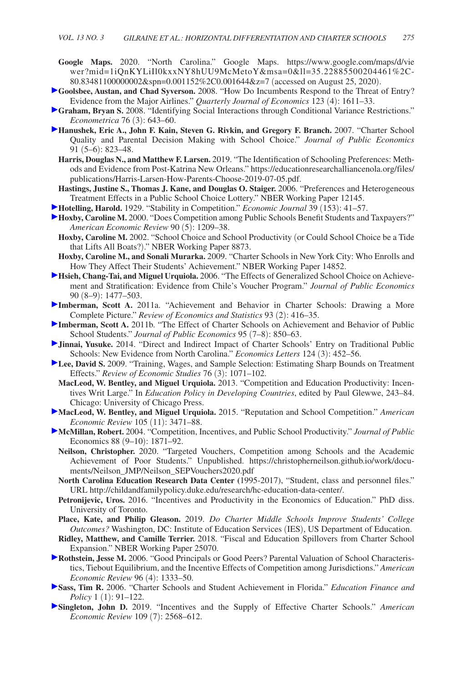- **Google Maps.** 2020. "North Carolina." Google Maps. [https://www.google.com/maps/d/vie](https://www.google.com/maps/d/viewer?mid=1iQnKYLiIl0kxxNY8hUU9McMetoY&msa=0&ll=35.22885500204461%2C-80.83481100000002&spn=0.001152%2C0.001644&z=7) [wer?mid=1iQnKYLiIl0kxxNY8hUU9McMetoY&msa=0&ll=35.22885500204461%2C-](https://www.google.com/maps/d/viewer?mid=1iQnKYLiIl0kxxNY8hUU9McMetoY&msa=0&ll=35.22885500204461%2C-80.83481100000002&spn=0.001152%2C0.001644&z=7)[80.83481100000002&spn=0.001152%2C0.001644&z=7](https://www.google.com/maps/d/viewer?mid=1iQnKYLiIl0kxxNY8hUU9McMetoY&msa=0&ll=35.22885500204461%2C-80.83481100000002&spn=0.001152%2C0.001644&z=7) (accessed on August 25, 2020).
- **Goolsbee, Austan, and Chad Syverson.** 2008. "How Do Incumbents Respond to the Threat of Entry? Evidence from the Major Airlines." *Quarterly Journal of Economics* 123 (4): 1611–33.
- **Graham, Bryan S.** 2008. "Identifying Social Interactions through Conditional Variance Restrictions." *Econometrica* 76 (3): 643–60.
- **Hanushek, Eric A., John F. Kain, Steven G. Rivkin, and Gregory F. Branch.** 2007. "Charter School Quality and Parental Decision Making with School Choice." *Journal of Public Economics*  91 (5–6): 823–48.
	- **Harris, Douglas N., and Matthew F. Larsen.** 2019. "The Identification of Schooling Preferences: Methods and Evidence from Post-Katrina New Orleans." [https://educationresearchalliancenola.org/files/](https://educationresearchalliancenola.org/files/publications/Harris-Larsen-How-Parents-Choose-2019-07-05.pdf) [publications/Harris-Larsen-How-Parents-Choose-2019-07-05.pdf.](https://educationresearchalliancenola.org/files/publications/Harris-Larsen-How-Parents-Choose-2019-07-05.pdf)
	- **Hastings, Justine S., Thomas J. Kane, and Douglas O. Staiger.** 2006. "Preferences and Heterogeneous Treatment Effects in a Public School Choice Lottery." NBER Working Paper 12145.
- **Hotelling, Harold.** 1929. "Stability in Competition." *Economic Journal* 39 (153): 41–57.
- **Hoxby, Caroline M.** 2000. "Does Competition among Public Schools Benefit Students and Taxpayers?" *American Economic Review* 90 (5): 1209–38.
	- **Hoxby, Caroline M.** 2002. "School Choice and School Productivity (or Could School Choice be a Tide that Lifts All Boats?)." NBER Working Paper 8873.
- **Hoxby, Caroline M., and Sonali Murarka.** 2009. "Charter Schools in New York City: Who Enrolls and How They Affect Their Students' Achievement." NBER Working Paper 14852.
- **Hsieh, Chang-Tai, and Miguel Urquiola.** 2006. "The Effects of Generalized School Choice on Achievement and Stratification: Evidence from Chile's Voucher Program." *Journal of Public Economics*  90 (8–9): 1477–503.
- **Imberman, Scott A.** 2011a. "Achievement and Behavior in Charter Schools: Drawing a More Complete Picture." *Review of Economics and Statistics* 93 (2): 416–35.
- Imberman, Scott A. 2011b. "The Effect of Charter Schools on Achievement and Behavior of Public School Students." *Journal of Public Economics* 95 (7–8): 850–63.
- **Jinnai, Yusuke.** 2014. "Direct and Indirect Impact of Charter Schools' Entry on Traditional Public Schools: New Evidence from North Carolina." *Economics Letters* 124 (3): 452–56.
- **Lee, David S.** 2009. "Training, Wages, and Sample Selection: Estimating Sharp Bounds on Treatment Effects." *Review of Economic Studies* 76 (3): 1071–102.
	- **MacLeod, W. Bentley, and Miguel Urquiola.** 2013. "Competition and Education Productivity: Incentives Writ Large." In *Education Policy in Developing Countries*, edited by Paul Glewwe, 243–84. Chicago: University of Chicago Press.
- **MacLeod, W. Bentley, and Miguel Urquiola.** 2015. "Reputation and School Competition." *American Economic Review* 105 (11): 3471–88.
- **McMillan, Robert.** 2004. "Competition, Incentives, and Public School Productivity." *Journal of Public*  Economics 88 (9–10): 1871–92.
	- **Neilson, Christopher.** 2020. "Targeted Vouchers, Competition among Schools and the Academic Achievement of Poor Students." Unpublished. [https://christopherneilson.github.io/work/docu](https://christopherneilson.github.io/work/documents/Neilson_JMP/Neilson_SEPVouchers2020.pdf)[ments/Neilson\\_JMP/Neilson\\_SEPVouchers2020.pdf](https://christopherneilson.github.io/work/documents/Neilson_JMP/Neilson_SEPVouchers2020.pdf)
	- **North Carolina Education Research Data Center (**1995-2017), "Student, class and personnel files." URL [http://childandfamilypolicy.duke.edu/research/hc-education-data-center/.](http://childandfamilypolicy.duke.edu/research/hc-education-data-center/)
	- **Petronijevic, Uros.** 2016. "Incentives and Productivity in the Economics of Education." PhD diss. University of Toronto.
	- **Place, Kate, and Philip Gleason.** 2019. *Do Charter Middle Schools Improve Students' College Outcomes?* Washington, DC: Institute of Education Services (IES), US Department of Education.
- **Ridley, Matthew, and Camille Terrier.** 2018. "Fiscal and Education Spillovers from Charter School Expansion." NBER Working Paper 25070.
- **Rothstein, Jesse M.** 2006. "Good Principals or Good Peers? Parental Valuation of School Characteristics, Tiebout Equilibrium, and the Incentive Effects of Competition among Jurisdictions." *American Economic Review* 96 (4): 1333–50.
- **Sass, Tim R.** 2006. "Charter Schools and Student Achievement in Florida." *Education Finance and Policy* 1 (1): 91–122.
- **Singleton, John D.** 2019. "Incentives and the Supply of Effective Charter Schools." *American Economic Review* 109 (7): 2568–612.